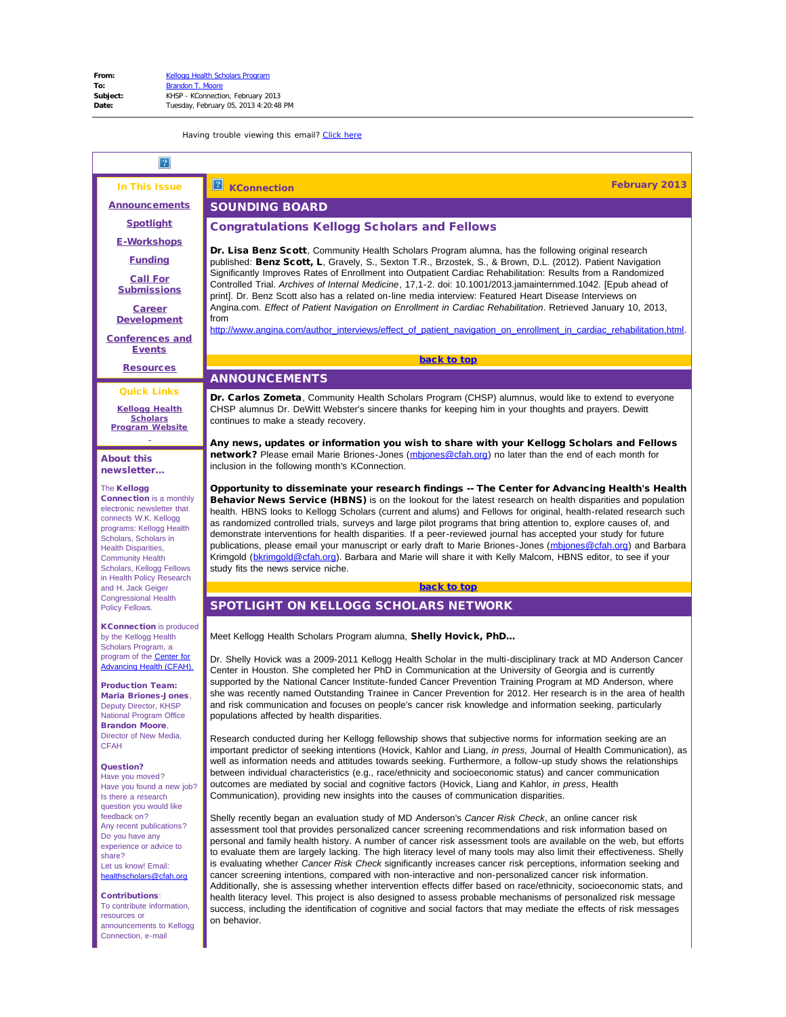## In This Issue

<span id="page-0-2"></span>**[Announcements](#page-0-0)** 

#### [Spotlight](#page-0-1)

[E-Workshops](#page-1-0)

**[Funding](#page-1-1)** 

[Call For](#page-1-2) **[Submissions](#page-1-2)** 

[Career](#page-3-0) **[Development](#page-3-0)** 

<span id="page-0-3"></span><span id="page-0-0"></span>[Conferences and](#page-12-0) **[Events](#page-12-0)** 

**[Resources](#page-12-1)** 

#### Quick Links

**[Kellogg Health](http://r20.rs6.net/tn.jsp?e=001DdGagPIseLtGB_b3F8O0xeez95j4M-E5hyrD5XhX5eH2502FwwQTz_jLe3ixckwx3QGUHNHecgRRVT0nFH62BSpS_T0_SuuuxLHTHkdVcRtn80PV_ax_NlTRSNn57a2g) [Scholars](http://r20.rs6.net/tn.jsp?e=001DdGagPIseLtGB_b3F8O0xeez95j4M-E5hyrD5XhX5eH2502FwwQTz_jLe3ixckwx3QGUHNHecgRRVT0nFH62BSpS_T0_SuuuxLHTHkdVcRtn80PV_ax_NlTRSNn57a2g) [Program](http://r20.rs6.net/tn.jsp?e=001DdGagPIseLtGB_b3F8O0xeez95j4M-E5hyrD5XhX5eH2502FwwQTz_jLe3ixckwx3QGUHNHecgRRVT0nFH62BSpS_T0_SuuuxLHTHkdVcRtn80PV_ax_NlTRSNn57a2g) Website**

#### About this newsletter...

#### The Kellogg

Connection is a monthly electronic newsletter that connects W.K. Kellogg programs: Kellogg Health Scholars, Scholars in Health Disparities, Community Health Scholars, Kellogg Fellows in Health Policy Research and H. Jack Geiger Congressional Health Policy Fellows.

<span id="page-0-1"></span>KConnection is produced by the Kellogg Health Scholars Program, a program of the [Center for](http://r20.rs6.net/tn.jsp?e=001DdGagPIseLst4I8H0ouDe9lM_HqTx4gFmysoh8Q8-FnEdEH6_c-YmO4WC0ERnYlaFxdL1MRZvyjs0VH9pkgX-TbcsxgEhUSA2Ue0mJO6zRg=) [Advancing Health \(CFAH\).](http://r20.rs6.net/tn.jsp?e=001DdGagPIseLst4I8H0ouDe9lM_HqTx4gFmysoh8Q8-FnEdEH6_c-YmO4WC0ERnYlaFxdL1MRZvyjs0VH9pkgX-TbcsxgEhUSA2Ue0mJO6zRg=)

#### Production Team: Maria Briones-Jones, Deputy Director, KHSP National Program Office Brandon Moore, Director of New Media, CFAH

#### Question?

Have you moved? Have you found a new job? Is there a research question you would like feedback on? Any recent publications? Do you have any experience or advice to share? Let us know! Email: [healthscholars@cfah.org](mailto:healthscholars@cfah.org)

#### Contributions:

To contribute information, resources or announcements to Kellogg Connection, e-mail

## SOUNDING BOARD

## Congratulations Kellogg Scholars and Fellows

Dr. Lisa Benz Scott, Community Health Scholars Program alumna, has the following original research published: Benz Scott, L, Gravely, S., Sexton T.R., Brzostek, S., & Brown, D.L. (2012). Patient Navigation Significantly Improves Rates of Enrollment into Outpatient Cardiac Rehabilitation: Results from a Randomized Controlled Trial. *Archives of Internal Medicine*, 17,1-2. doi: 10.1001/2013.jamainternmed.1042. [Epub ahead of print]. Dr. Benz Scott also has a related on-line media interview: Featured Heart Disease Interviews on Angina.com. *Effect of Patient Navigation on Enrollment in Cardiac Rehabilitation*. Retrieved January 10, 2013, from

http://www.angina.com/author\_interviews/effect\_of\_patient\_navigation\_on\_enrollment\_in\_cardiac\_rehabilitation.html

#### [back to top](#page-0-2)

# ANNOUNCEMENTS

Dr. Carlos Zometa, Community Health Scholars Program (CHSP) alumnus, would like to extend to everyone CHSP alumnus Dr. DeWitt Webster's sincere thanks for keeping him in your thoughts and prayers. Dewitt continues to make a steady recovery.

Any news, updates or information you wish to share with your Kellogg Scholars and Fellows network? Please email Marie Briones-Jones ([mbjones@cfah.org\)](mailto:mbjones@cfah.org) no later than the end of each month for inclusion in the following month's KConnection.

Opportunity to disseminate your research findings -- The Center for Advancing Health's Health Behavior News Service (HBNS) is on the lookout for the latest research on health disparities and population health. HBNS looks to Kellogg Scholars (current and alums) and Fellows for original, health-related research such as randomized controlled trials, surveys and large pilot programs that bring attention to, explore causes of, and demonstrate interventions for health disparities. If a peer-reviewed journal has accepted your study for future publications, please email your manuscript or early draft to Marie Briones-Jones ([mbjones@cfah.org\)](mailto:mbjones@cfah.org) and Barbara Krimgold [\(bkrimgold@cfah.org](mailto:bkrimgold@cfah.org)). Barbara and Marie will share it with Kelly Malcom, HBNS editor, to see if your study fits the news service niche.

#### [back to top](#page-0-2)

## SPOTLIGHT ON KELLOGG SCHOLARS NETWORK

Meet Kellogg Health Scholars Program alumna, Shelly Hovick, PhD...

Dr. Shelly Hovick was a 2009-2011 Kellogg Health Scholar in the multi-disciplinary track at MD Anderson Cancer Center in Houston. She completed her PhD in Communication at the University of Georgia and is currently supported by the National Cancer Institute-funded Cancer Prevention Training Program at MD Anderson, where she was recently named Outstanding Trainee in Cancer Prevention for 2012. Her research is in the area of health and risk communication and focuses on people's cancer risk knowledge and information seeking, particularly populations affected by health disparities.

Research conducted during her Kellogg fellowship shows that subjective norms for information seeking are an important predictor of seeking intentions (Hovick, Kahlor and Liang, *in press,* Journal of Health Communication), as well as information needs and attitudes towards seeking. Furthermore, a follow-up study shows the relationships between individual characteristics (e.g., race/ethnicity and socioeconomic status) and cancer communication outcomes are mediated by social and cognitive factors (Hovick, Liang and Kahlor, *in press*, Health Communication), providing new insights into the causes of communication disparities.

Shelly recently began an evaluation study of MD Anderson's *Cancer Risk Check*, an online cancer risk assessment tool that provides personalized cancer screening recommendations and risk information based on personal and family health history. A number of cancer risk assessment tools are available on the web, but efforts to evaluate them are largely lacking. The high literacy level of many tools may also limit their effectiveness. Shelly is evaluating whether *Cancer Risk Check* significantly increases cancer risk perceptions, information seeking and cancer screening intentions, compared with non-interactive and non-personalized cancer risk information. Additionally, she is assessing whether intervention effects differ based on race/ethnicity, socioeconomic stats, and health literacy level. This project is also designed to assess probable mechanisms of personalized risk message success, including the identification of cognitive and social factors that may mediate the effects of risk messages on behavior.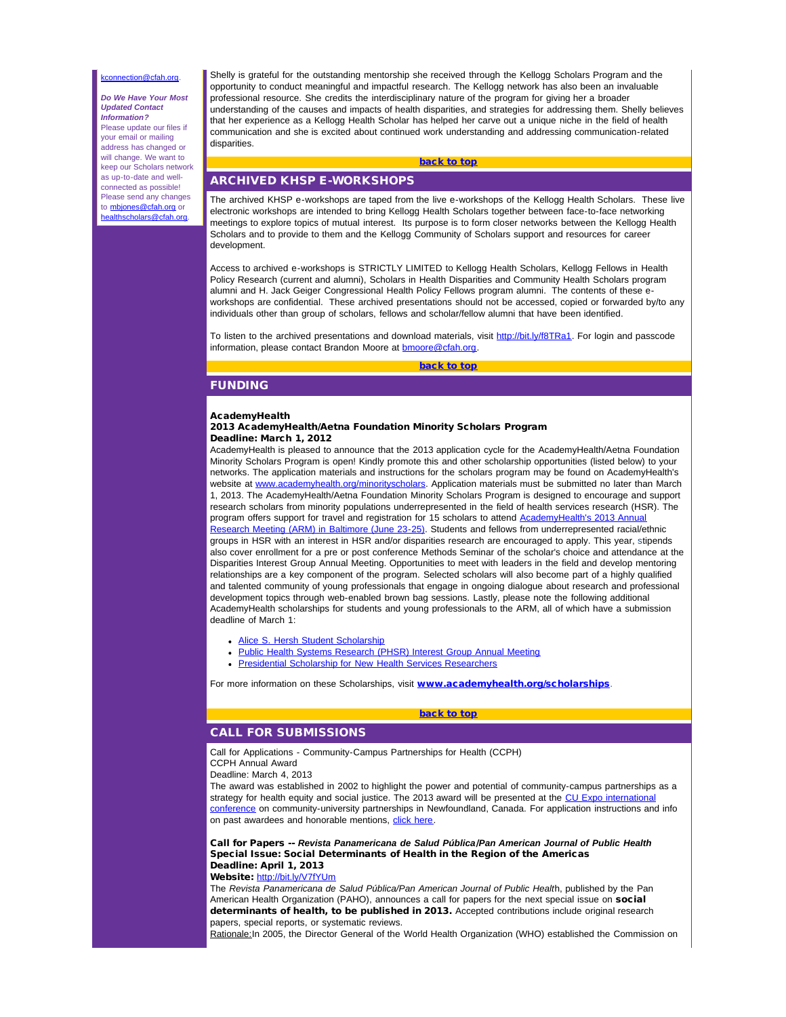### <span id="page-1-0"></span>[kconnection@cfah.org.](mailto:kconnection@cfah.org)

<span id="page-1-1"></span>*Do We Have Your Most Updated Contact Information?* Please update our files if your email or mailing address has changed or will change. We want to keep our Scholars network as up-to-date and wellconnected as possible! Please send any changes to [mbjones@cfah.org](mailto:mbjones@cfah.org) or [healthscholars@cfah.org](mailto:healthscholars@cfah.org).

Shelly is grateful for the outstanding mentorship she received through the Kellogg Scholars Program and the opportunity to conduct meaningful and impactful research. The Kellogg network has also been an invaluable professional resource. She credits the interdisciplinary nature of the program for giving her a broader understanding of the causes and impacts of health disparities, and strategies for addressing them. Shelly believes that her experience as a Kellogg Health Scholar has helped her carve out a unique niche in the field of health communication and she is excited about continued work understanding and addressing communication-related disparities.

## [back to top](#page-0-3)

## ARCHIVED KHSP E-WORKSHOPS

The archived KHSP e-workshops are taped from the live e-workshops of the Kellogg Health Scholars. These live electronic workshops are intended to bring Kellogg Health Scholars together between face-to-face networking meetings to explore topics of mutual interest. Its purpose is to form closer networks between the Kellogg Health Scholars and to provide to them and the Kellogg Community of Scholars support and resources for career development.

Access to archived e-workshops is STRICTLY LIMITED to Kellogg Health Scholars, Kellogg Fellows in Health Policy Research (current and alumni), Scholars in Health Disparities and Community Health Scholars program alumni and H. Jack Geiger Congressional Health Policy Fellows program alumni. The contents of these eworkshops are confidential. These archived presentations should not be accessed, copied or forwarded by/to any individuals other than group of scholars, fellows and scholar/fellow alumni that have been identified.

To listen to the archived presentations and download materials, visit [http://bit.ly/f8TRa1.](http://r20.rs6.net/tn.jsp?e=001DdGagPIseLtQ_v7ockRDBqc_2bzAMWA661PmNof2S4dqlg2DNSyahaBFCA-EDO8U5A3T_IIgzszxDXetbPXqSBg5ipSr9gVal6iDjR7ES9bpzQLGX_4UJmfs_K4TCtY1-Xl1iU5HnoU=) For login and passcode information, please contact Brandon Moore at **bmoore@cfah.org**.

#### [back to top](#page-0-3)

## FUNDING

#### AcademyHealth

#### 2013 AcademyHealth/Aetna Foundation Minority Scholars Program Deadline: March 1, 2012

<span id="page-1-2"></span>AcademyHealth is pleased to announce that the 2013 application cycle for the AcademyHealth/Aetna Foundation Minority Scholars Program is open! Kindly promote this and other scholarship opportunities (listed below) to your networks. The application materials and instructions for the scholars program may be found on AcademyHealth's website at [www.academyhealth.org/minorityscholars.](http://r20.rs6.net/tn.jsp?e=001DdGagPIseLvmhBdDrLv0YxbqrIzuENaVyby3271UUcqwyRbk3Yl_JXhqezbjcDiiiVpesjFKNeoFKH8k0oj_vjxtOFJyCVM3LpPAvWoSR1nLD3nFiv61ftyarSQ4ibjam2kJxWoEPTw=) Application materials must be submitted no later than March 1, 2013. The AcademyHealth/Aetna Foundation Minority Scholars Program is designed to encourage and support research scholars from minority populations underrepresented in the field of health services research (HSR). The program offers support for travel and registration for 15 scholars to attend [AcademyHealth's 2013 Annual](http://r20.rs6.net/tn.jsp?e=001DdGagPIseLscnG-rPRVra3VtbYwCdVqdVzN6cuvBzu35S8TNt7fFoWp4ufkLd7ioPn7OpOw45sMm6wBgMI9Y66ePOqBL8nVCGlkjh7E_H4ghDv2suAFReg==) [Research Meeting \(ARM\) in Baltimore \(June 23-25\)](http://r20.rs6.net/tn.jsp?e=001DdGagPIseLscnG-rPRVra3VtbYwCdVqdVzN6cuvBzu35S8TNt7fFoWp4ufkLd7ioPn7OpOw45sMm6wBgMI9Y66ePOqBL8nVCGlkjh7E_H4ghDv2suAFReg==). Students and fellows from underrepresented racial/ethnic groups in HSR with an interest in HSR and/or disparities research are encouraged to apply. This year, stipends also cover enrollment for a pre or post conference Methods Seminar of the scholar's choice and attendance at the Disparities Interest Group Annual Meeting. Opportunities to meet with leaders in the field and develop mentoring relationships are a key component of the program. Selected scholars will also become part of a highly qualified and talented community of young professionals that engage in ongoing dialogue about research and professional development topics through web-enabled brown bag sessions. Lastly, please note the following additional AcademyHealth scholarships for students and young professionals to the ARM, all of which have a submission deadline of March 1:

**[Alice S. Hersh Student Scholarship](http://r20.rs6.net/tn.jsp?e=001DdGagPIseLu2_JmCdlqGb647igJ1J0hB03Pe6ais7YVrwpUWYZ6V2FSui6wYCq1kz3qwUURLouSpHllPbmL5ErTbOqDJuixNex55JuGXNhrvGi7RjAWi_gPF3krtl0f9BlD0atazYeG4FWlFTQeaSZqWhgJo5FIDWe_H_x6VO8BKAM1VubGVq6iv15y1k4ZLwLkdwXNTnWc=)** 

- [Public Health Systems Research \(PHSR\) Interest Group Annual Meeting](http://r20.rs6.net/tn.jsp?e=001DdGagPIseLv4BVo1SXIbVo8mMkbpek2JJwMVWc3XrRZl1BiWTosKAAuxKy9XuZsQ9aOde3ce-hVj1HqJb4GqrXlgk52029FeOprnhEybUM4sR-t6bjFVQ-HdznCBc9PBuRh1AhFpP7-TyzoEdGrKlEgRy8rCvA3F38SbMvdu9L6U3ICPUiExjYmQavf-Pn3okLIIDCmjHwY=)
- [Presidential Scholarship for New Health Services Researchers](http://r20.rs6.net/tn.jsp?e=001DdGagPIseLscnG-rPRVrazN8CsdLLmy9OTeoLnQK5IUzf9rGfGCPUxpW6GSjX96goY-6T6ehrO_BdW1_dHZ0P642fm_lqT3nBO0VDOLcnJ-1NfVvB0_2lyo_XO4h8G0Yrff-kvNeshgwPSEoimKc4MCLlL_Wyn5Fe-gxF81cN-FL7FxKWgRtL-OFgX_kTHxA)

For more information on these Scholarships, visit [www.academyhealth.org/scholarships](http://r20.rs6.net/tn.jsp?e=001DdGagPIseLsgERvOQvJy9wlwujZ_8Nv8H8PkGwRMHoHAP6dcg0QxTMAxqsZGD99BA_XtCenCo1SJdbuL8Chf-cYXZfQb_1iieVvpF8VS34e7Piv_iQ5afCMvMGlISmto7Qlm_KDbeNg=).

#### [back to top](#page-0-3)

## CALL FOR SUBMISSIONS

Call for Applications - Community-Campus Partnerships for Health (CCPH)

CCPH Annual Award

Deadline: March 4, 2013

The award was established in 2002 to highlight the power and potential of community-campus partnerships as a strategy for health equity and social justice. The 2013 award will be presented at the [CU Expo international](http://r20.rs6.net/tn.jsp?e=001DdGagPIseLu210eyc36sh64lLEB15fzYf4f0TLjt_M2V5KfEAfZ7dZCNY_x693ESN86AOEljwhk7p_XMM1spMs54mISG2p4RqE3NRvXIvqI=) [conference](http://r20.rs6.net/tn.jsp?e=001DdGagPIseLu210eyc36sh64lLEB15fzYf4f0TLjt_M2V5KfEAfZ7dZCNY_x693ESN86AOEljwhk7p_XMM1spMs54mISG2p4RqE3NRvXIvqI=) on community-university partnerships in Newfoundland, Canada. For application instructions and info on past awardees and honorable mentions, [click here](http://r20.rs6.net/tn.jsp?e=001DdGagPIseLudWlacoDnUw7w1OO4RRYkfRhib0K-qzHOeA3g9t8c7k_M2_GxmPiJ8oIslJicLuMrNoxlRzF5HRdkhoWLE-VnUAH4Q5PtlPlc=).

Call for Papers -- *Revista Panamericana de Salud Pública*/*Pan American Journal of Public Health* Special Issue: Social Determinants of Health in the Region of the Americas Deadline: April 1, 2013

Website: [http://bit.ly/V7fYUm](http://r20.rs6.net/tn.jsp?e=001DdGagPIseLvmdDjkP6r5fv2rF2K8apHAxw3-r2t2Z49ZmD40iR14_i46W-we59lEa4KbWhvIUmhZZz5WWsaFyygRm_nGRonsY5NlFvkraHw=)

The *Revista Panamericana de Salud Pública/Pan American Journal of Public Healt*h, published by the Pan American Health Organization (PAHO), announces a call for papers for the next special issue on social determinants of health, to be published in 2013. Accepted contributions include original research papers, special reports, or systematic reviews.

Rationale:In 2005, the Director General of the World Health Organization (WHO) established the Commission on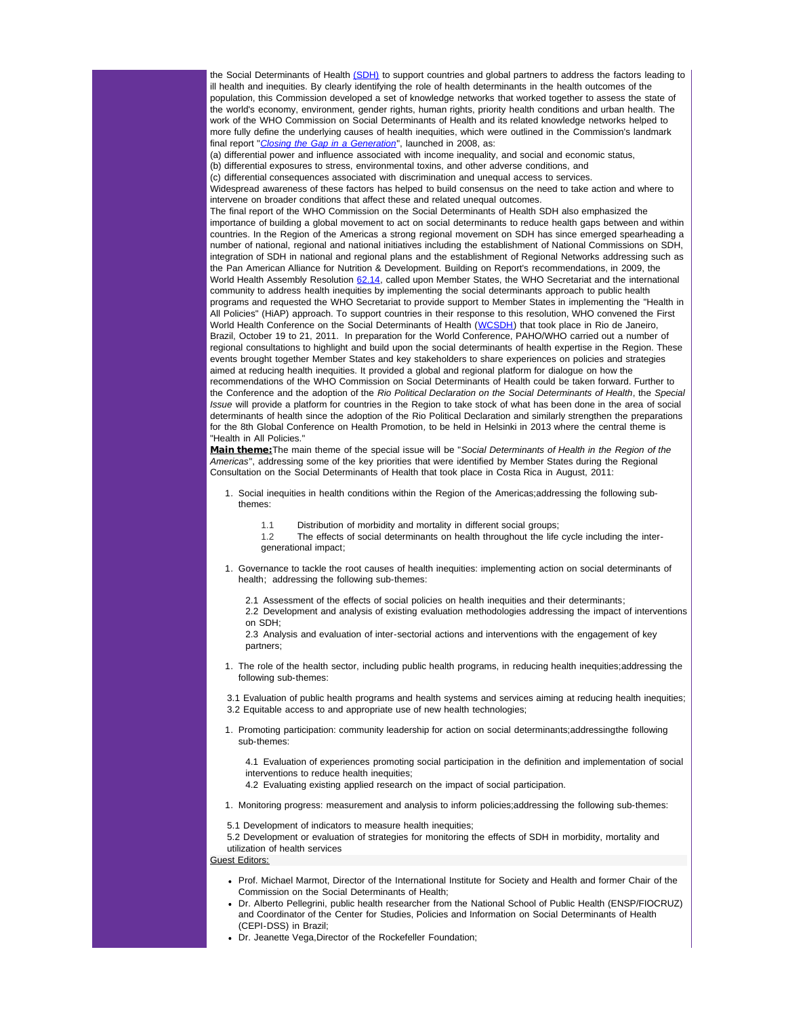the Social Determinants of Health [\(SDH\)](http://r20.rs6.net/tn.jsp?e=001DdGagPIseLuHHcmXwPFrtpk4pRfjuwVChrD8wtQwo2U7evCvSZ91H88ZfZ-gMcBJFbf0zKcxRZITSvcfr527YB2CUgjouMep_-Kg-TzUG34=) to support countries and global partners to address the factors leading to ill health and inequities. By clearly identifying the role of health determinants in the health outcomes of the population, this Commission developed a set of knowledge networks that worked together to assess the state of the world's economy, environment, gender rights, human rights, priority health conditions and urban health. The work of the WHO Commission on Social Determinants of Health and its related knowledge networks helped to more fully define the underlying causes of health inequities, which were outlined in the Commission's landmark final report "*[Closing the Gap in a Generation](http://r20.rs6.net/tn.jsp?e=001DdGagPIseLvq0CrjIbxAAHkEn01AG5F_RfMYD0fA2h0S5vGZ9zbSiigdttZ_xZWSYrXsz2jyteAnjVFoKb3Jt6dYwvGI1B2EIF5W-LP5CLk=)*", launched in 2008, as:

(a) differential power and influence associated with income inequality, and social and economic status, (b) differential exposures to stress, environmental toxins, and other adverse conditions, and

(c) differential consequences associated with discrimination and unequal access to services. Widespread awareness of these factors has helped to build consensus on the need to take action and where to intervene on broader conditions that affect these and related unequal outcomes.

The final report of the WHO Commission on the Social Determinants of Health SDH also emphasized the importance of building a global movement to act on social determinants to reduce health gaps between and within countries. In the Region of the Americas a strong regional movement on SDH has since emerged spearheading a number of national, regional and national initiatives including the establishment of National Commissions on SDH, integration of SDH in national and regional plans and the establishment of Regional Networks addressing such as the Pan American Alliance for Nutrition & Development. Building on Report's recommendations, in 2009, the World Health Assembly Resolution [62.14](http://r20.rs6.net/tn.jsp?e=001DdGagPIseLv6q5cXmN4ChjV0kyIBnt_LqplbwrfbG1L43DlOyAt6pE9AeUBLnvb4KUS_S7M-I8k4Q7R5ucwd19WPRXkykIlbacfeb2E48FE=), called upon Member States, the WHO Secretariat and the international community to address health inequities by implementing the social determinants approach to public health programs and requested the WHO Secretariat to provide support to Member States in implementing the "Health in All Policies" (HiAP) approach. To support countries in their response to this resolution, WHO convened the First World Health Conference on the Social Determinants of Health ([WCSDH\)](http://r20.rs6.net/tn.jsp?e=001DdGagPIseLue9jJSKvj5IrX0i_V9TvMgLnzrfgscuZJNH7DZ2mTJ1IIdppdDM7MpalnhzHL7U2v0ngSbmY7fRymzPxtjgPWuZrRt4SVlVLQ=) that took place in Rio de Janeiro, Brazil, October 19 to 21, 2011. In preparation for the World Conference, PAHO/WHO carried out a number of regional consultations to highlight and build upon the social determinants of health expertise in the Region. These events brought together Member States and key stakeholders to share experiences on policies and strategies aimed at reducing health inequities. It provided a global and regional platform for dialogue on how the recommendations of the WHO Commission on Social Determinants of Health could be taken forward. Further to the Conference and the adoption of the *Rio Political Declaration on the Social Determinants of Health*, the *Special Issue* will provide a platform for countries in the Region to take stock of what has been done in the area of social determinants of health since the adoption of the Rio Political Declaration and similarly strengthen the preparations for the 8th Global Conference on Health Promotion*,* to be held in Helsinki in 2013 where the central theme is "Health in All Policies."

Main theme:The main theme of the special issue will be "*Social Determinants of Health in the Region of the Americas*", addressing some of the key priorities that were identified by Member States during the Regional Consultation on the Social Determinants of Health that took place in Costa Rica in August, 2011:

- 1. Social inequities in health conditions within the Region of the Americas;addressing the following subthemes:
	- 1.1 Distribution of morbidity and mortality in different social groups;<br>1.2 The effects of social determinants on health throughout the life
	- The effects of social determinants on health throughout the life cycle including the intergenerational impact;
- 1. Governance to tackle the root causes of health inequities: implementing action on social determinants of health; addressing the following sub-themes:
	- 2.1 Assessment of the effects of social policies on health inequities and their determinants;

2.2 Development and analysis of existing evaluation methodologies addressing the impact of interventions on SDH;

2.3 Analysis and evaluation of inter-sectorial actions and interventions with the engagement of key partners;

1. The role of the health sector, including public health programs, in reducing health inequities;addressing the following sub-themes:

3.1 Evaluation of public health programs and health systems and services aiming at reducing health inequities; 3.2 Equitable access to and appropriate use of new health technologies;

1. Promoting participation: community leadership for action on social determinants;addressingthe following sub-themes:

4.1 Evaluation of experiences promoting social participation in the definition and implementation of social interventions to reduce health inequities;

4.2 Evaluating existing applied research on the impact of social participation.

1. Monitoring progress: measurement and analysis to inform policies;addressing the following sub-themes:

5.1 Development of indicators to measure health inequities;

5.2 Development or evaluation of strategies for monitoring the effects of SDH in morbidity, mortality and utilization of health services

Guest Editors:

- Prof. Michael Marmot, Director of the International Institute for Society and Health and former Chair of the Commission on the Social Determinants of Health;
- Dr. Alberto Pellegrini, public health researcher from the National School of Public Health (ENSP/FIOCRUZ) and Coordinator of the Center for Studies, Policies and Information on Social Determinants of Health (CEPI-DSS) in Brazil;
- Dr. Jeanette Vega,Director of the Rockefeller Foundation;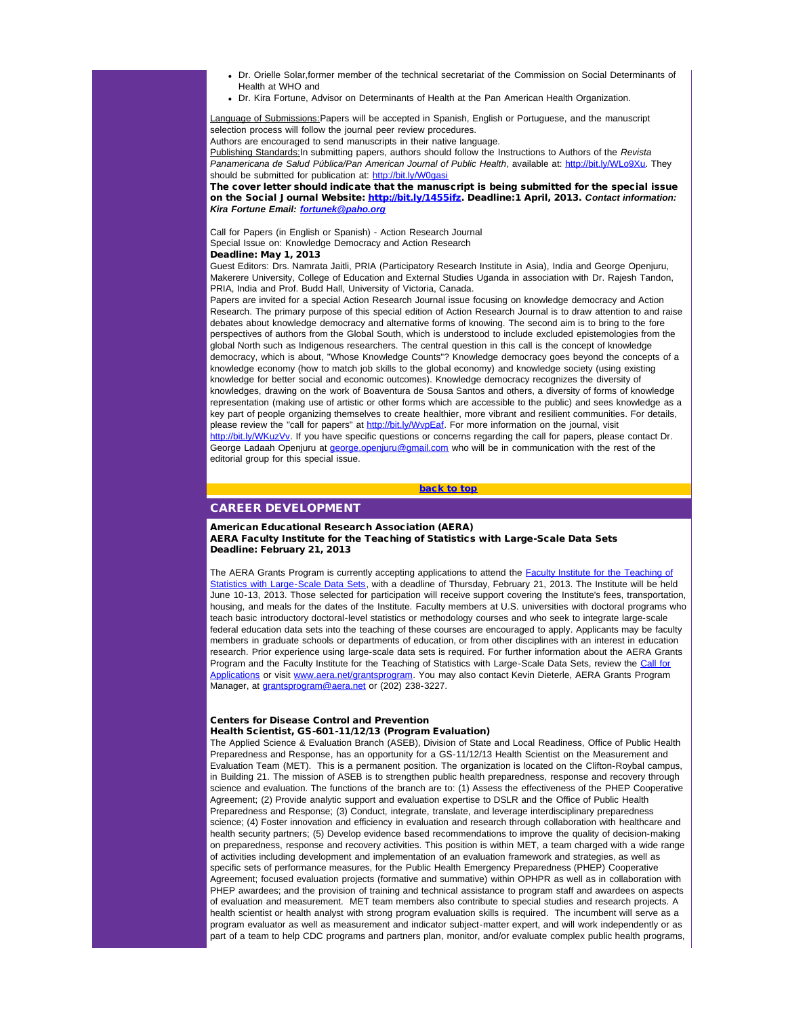- Dr. Orielle Solar,former member of the technical secretariat of the Commission on Social Determinants of Health at WHO and
- Dr. Kira Fortune, Advisor on Determinants of Health at the Pan American Health Organization.

Language of Submissions:Papers will be accepted in Spanish, English or Portuguese, and the manuscript selection process will follow the journal peer review procedures.

Authors are encouraged to send manuscripts in their native language.

Publishing Standards:In submitting papers, authors should follow the Instructions to Authors of the *Revista Panamericana de Salud Pública/Pan American Journal of Public Health*, available at: [http://bit.ly/WLo9Xu.](http://r20.rs6.net/tn.jsp?e=001DdGagPIseLsEMUBgEAsx7Ikuu7BwvObtENcyKqezeASJd5lz2IqJsbSgLej4-HdwA2rByGyEiXz5r0K3-qsCJXAsF-I6qdhVPDcCjHQY8Us=) They should be submitted for publication at: http://bit.ly/W0gas

The cover letter should indicate that the manuscript is being submitted for the special issue on the Social Journal Website: [http://bit.ly/1455ifz](http://r20.rs6.net/tn.jsp?e=001DdGagPIseLuxUhTBLMCsfSnNVAm1kvdv4yPCZLL2mO-SBTENJtF-6ha5kZr2vEqDKCZdE2Bs8HXAcAhzROAOsIuUMh_Nnguqfq8GJZ8B-Oo=). Deadline:1 April, 2013. *Contact information: Kira Fortune Email: [fortunek@paho.org](mailto:fortunek@paho.org)*

Call for Papers (in English or Spanish) - Action Research Journal Special Issue on: Knowledge Democracy and Action Research

### Deadline: May 1, 2013

Guest Editors: Drs. Namrata Jaitli, PRIA (Participatory Research Institute in Asia), India and George Openjuru, Makerere University, College of Education and External Studies Uganda in association with Dr. Rajesh Tandon, PRIA, India and Prof. Budd Hall, University of Victoria, Canada.

<span id="page-3-0"></span>Papers are invited for a special Action Research Journal issue focusing on knowledge democracy and Action Research. The primary purpose of this special edition of Action Research Journal is to draw attention to and raise debates about knowledge democracy and alternative forms of knowing. The second aim is to bring to the fore perspectives of authors from the Global South, which is understood to include excluded epistemologies from the global North such as Indigenous researchers. The central question in this call is the concept of knowledge democracy, which is about, "Whose Knowledge Counts"? Knowledge democracy goes beyond the concepts of a knowledge economy (how to match job skills to the global economy) and knowledge society (using existing knowledge for better social and economic outcomes). Knowledge democracy recognizes the diversity of knowledges, drawing on the work of Boaventura de Sousa Santos and others, a diversity of forms of knowledge representation (making use of artistic or other forms which are accessible to the public) and sees knowledge as a key part of people organizing themselves to create healthier, more vibrant and resilient communities. For details, please review the "call for papers" at [http://bit.ly/WvpEaf](http://r20.rs6.net/tn.jsp?e=001DdGagPIseLsnCEFhg4-vxDqMX1M0XYI-qCg9vNeg5b7PTYd5o1MMuy_La2QW8BCA_TuZPawymipNO4tNug9bE2GbQHRgxYVS3t3ZgHe4pEw=). For more information on the journal, visit [http://bit.ly/WKuzVv](http://r20.rs6.net/tn.jsp?e=001DdGagPIseLvCDt7gVFL1AgzgjL8gt2rlmy_qhCh24r1drGqQLQIPfRtnoaJFJ9c52sfgLUaxTyBsf5YbjIEwaPEe4Mtg0d-R5xVqxFVhkYc=). If you have specific questions or concerns regarding the call for papers, please contact Dr. George Ladaah Openjuru at *george.openjuru@gmajl.com* who will be in communication with the rest of the editorial group for this special issue.

[back to top](#page-0-3)

## CAREER DEVELOPMENT

American Educational Research Association (AERA) AERA Faculty Institute for the Teaching of Statistics with Large-Scale Data Sets Deadline: February 21, 2013

The AERA Grants Program is currently accepting applications to attend the **[Faculty Institute for the Teaching of](http://r20.rs6.net/tn.jsp?e=001DdGagPIseLuGY1xA0DtXuQbskEa7C69LpoaXYkcbM3qiplM18VQatYvEkMwaPDcrQ-FuSVTiGfQ6qQSPIRZz8cCZ0PigExmXqufu03vIMM4g24vK-arbUclVbUtgjixZoNJE1ggGvcef-28bP5uToct2rjyXus1C8H_iBRSnGytpO_Ag4RM4zzfXaeYGeb1GtWxLMuLEiajMx6reaoHYEA7lRRUrevAjYC5XO2voIGg-gKX5yY1QQG9oZ1x2VGHE)** s with Large-Scale Data Sets, with a deadline of Thursday, February 21, 2013. The Institute will be held June 10-13, 2013. Those selected for participation will receive support covering the Institute's fees, transportation, housing, and meals for the dates of the Institute. Faculty members at U.S. universities with doctoral programs who teach basic introductory doctoral-level statistics or methodology courses and who seek to integrate large-scale federal education data sets into the teaching of these courses are encouraged to apply. Applicants may be faculty members in graduate schools or departments of education, or from other disciplines with an interest in education research. Prior experience using large-scale data sets is required. For further information about the AERA Grants Program and the Faculty Institute for the Teaching of Statistics with Large-Scale Data Sets, review the [Call for](http://r20.rs6.net/tn.jsp?e=001DdGagPIseLuGY1xA0DtXuQbskEa7C69LpoaXYkcbM3qiplM18VQatYvEkMwaPDcrQ-FuSVTiGfQ6qQSPIRZz8cCZ0PigExmXqufu03vIMM4g24vK-arbUclVbUtgjixZoNJE1ggGvcef-28bP5uToct2rjyXus1C8H_iBRSnGytpO_Ag4RM4zzfXaeYGeb1GtWxLMuLEiajMx6reaoHYEA7lRRUrevAjYC5XO2voIGg-gKX5yY1QQG9oZ1x2VGHE) [Applications](http://r20.rs6.net/tn.jsp?e=001DdGagPIseLuGY1xA0DtXuQbskEa7C69LpoaXYkcbM3qiplM18VQatYvEkMwaPDcrQ-FuSVTiGfQ6qQSPIRZz8cCZ0PigExmXqufu03vIMM4g24vK-arbUclVbUtgjixZoNJE1ggGvcef-28bP5uToct2rjyXus1C8H_iBRSnGytpO_Ag4RM4zzfXaeYGeb1GtWxLMuLEiajMx6reaoHYEA7lRRUrevAjYC5XO2voIGg-gKX5yY1QQG9oZ1x2VGHE) or visit [www.aera.net/grantsprogram.](http://r20.rs6.net/tn.jsp?e=001DdGagPIseLuGqEvBEhPaiL6cSQfZArnhJFqWYBizqC1bNPq1H6eLV16Y2Gl5gwZXCjFRA0pOMxsmdvbawC23zKlOvAlTSZ35J8rHIpc45Njsi2EXsum4PYFdSeYiE46o) You may also contact Kevin Dieterle, AERA Grants Program Manager, at [grantsprogram@aera.net](mailto:grantsprogram@aera.net) or (202) 238-3227.

#### Centers for Disease Control and Prevention Health Scientist, GS-601-11/12/13 (Program Evaluation)

The Applied Science & Evaluation Branch (ASEB), Division of State and Local Readiness, Office of Public Health Preparedness and Response, has an opportunity for a GS-11/12/13 Health Scientist on the Measurement and Evaluation Team (MET). This is a permanent position. The organization is located on the Clifton-Roybal campus, in Building 21. The mission of ASEB is to strengthen public health preparedness, response and recovery through science and evaluation. The functions of the branch are to: (1) Assess the effectiveness of the PHEP Cooperative Agreement; (2) Provide analytic support and evaluation expertise to DSLR and the Office of Public Health Preparedness and Response; (3) Conduct, integrate, translate, and leverage interdisciplinary preparedness science; (4) Foster innovation and efficiency in evaluation and research through collaboration with healthcare and health security partners; (5) Develop evidence based recommendations to improve the quality of decision-making on preparedness, response and recovery activities. This position is within MET, a team charged with a wide range of activities including development and implementation of an evaluation framework and strategies, as well as specific sets of performance measures, for the Public Health Emergency Preparedness (PHEP) Cooperative Agreement; focused evaluation projects (formative and summative) within OPHPR as well as in collaboration with PHEP awardees; and the provision of training and technical assistance to program staff and awardees on aspects of evaluation and measurement. MET team members also contribute to special studies and research projects. A health scientist or health analyst with strong program evaluation skills is required. The incumbent will serve as a program evaluator as well as measurement and indicator subject-matter expert, and will work independently or as part of a team to help CDC programs and partners plan, monitor, and/or evaluate complex public health programs,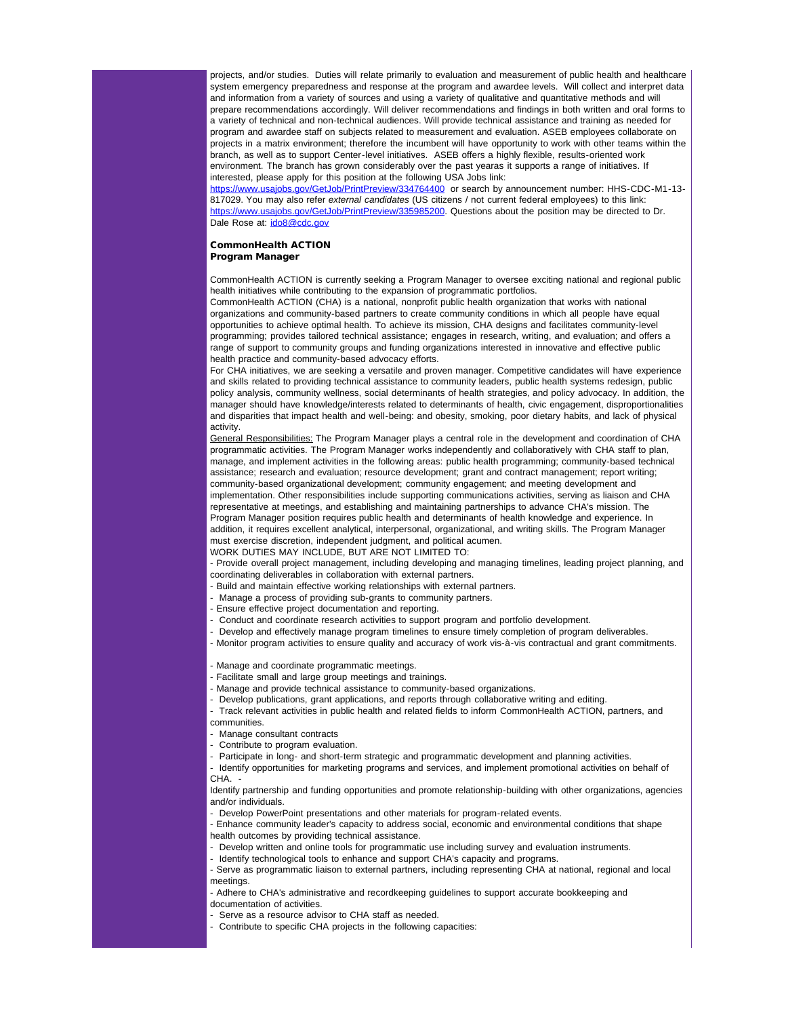projects, and/or studies. Duties will relate primarily to evaluation and measurement of public health and healthcare system emergency preparedness and response at the program and awardee levels. Will collect and interpret data and information from a variety of sources and using a variety of qualitative and quantitative methods and will prepare recommendations accordingly. Will deliver recommendations and findings in both written and oral forms to a variety of technical and non-technical audiences. Will provide technical assistance and training as needed for program and awardee staff on subjects related to measurement and evaluation. ASEB employees collaborate on projects in a matrix environment; therefore the incumbent will have opportunity to work with other teams within the branch, as well as to support Center-level initiatives. ASEB offers a highly flexible, results-oriented work environment. The branch has grown considerably over the past yearas it supports a range of initiatives. If interested, please apply for this position at the following USA Jobs link:

[https://www.usajobs.gov/GetJob/PrintPreview/334764400](http://r20.rs6.net/tn.jsp?e=001DdGagPIseLsg5XRUa__01e1WnygNdSahpU_KwlndpTo_RiJGehN89-O64yA0UPYOLZFMRr3Xny4EzMzwucssFHJkDbZzfrrWgqyx5p4QpCAGLSt_vKsBiQ4YoCVecp_S3bPHHdwxs3hkPHne5y5vUTuiTU2rv2Xt) or search by announcement number: HHS-CDC-M1-13- 817029. You may also refer *external candidates* (US citizens / not current federal employees) to this link: [https://www.usajobs.gov/GetJob/PrintPreview/335985200.](http://r20.rs6.net/tn.jsp?e=001DdGagPIseLsui1kUZ9m4BX5pCehGrnCYYHAitAvahlrJ5xRGViN7fp0uICD8qe3wc1Rjfojhvsz0ICPJra540gHlMVs-i-CxXPLHou33yzI6TKH2ORBBuESHWPbOi7qzrYWXmwqGLeyAf_QpFiYlisbVT4oMJ3J8) Questions about the position may be directed to Dr. Dale Rose at: [ido8@cdc.gov](mailto:ido8@cdc.gov)

## CommonHealth ACTION Program Manager

CommonHealth ACTION is currently seeking a Program Manager to oversee exciting national and regional public health initiatives while contributing to the expansion of programmatic portfolios.

CommonHealth ACTION (CHA) is a national, nonprofit public health organization that works with national organizations and community-based partners to create community conditions in which all people have equal opportunities to achieve optimal health. To achieve its mission, CHA designs and facilitates community-level programming; provides tailored technical assistance; engages in research, writing, and evaluation; and offers a range of support to community groups and funding organizations interested in innovative and effective public health practice and community-based advocacy efforts.

For CHA initiatives, we are seeking a versatile and proven manager. Competitive candidates will have experience and skills related to providing technical assistance to community leaders, public health systems redesign, public policy analysis, community wellness, social determinants of health strategies, and policy advocacy. In addition, the manager should have knowledge/interests related to determinants of health, civic engagement, disproportionalities and disparities that impact health and well-being: and obesity, smoking, poor dietary habits, and lack of physical activity.

General Responsibilities: The Program Manager plays a central role in the development and coordination of CHA programmatic activities. The Program Manager works independently and collaboratively with CHA staff to plan, manage, and implement activities in the following areas: public health programming; community-based technical assistance; research and evaluation; resource development; grant and contract management; report writing; community-based organizational development; community engagement; and meeting development and implementation. Other responsibilities include supporting communications activities, serving as liaison and CHA representative at meetings, and establishing and maintaining partnerships to advance CHA's mission. The Program Manager position requires public health and determinants of health knowledge and experience. In addition, it requires excellent analytical, interpersonal, organizational, and writing skills. The Program Manager must exercise discretion, independent judgment, and political acumen.

WORK DUTIES MAY INCLUDE, BUT ARE NOT LIMITED TO:

- Provide overall project management, including developing and managing timelines, leading project planning, and coordinating deliverables in collaboration with external partners.

- Build and maintain effective working relationships with external partners.
- Manage a process of providing sub-grants to community partners.
- Ensure effective project documentation and reporting.
- Conduct and coordinate research activities to support program and portfolio development.
- Develop and effectively manage program timelines to ensure timely completion of program deliverables.

- Monitor program activities to ensure quality and accuracy of work vis-à-vis contractual and grant commitments.

- Manage and coordinate programmatic meetings.

- Facilitate small and large group meetings and trainings.

- Manage and provide technical assistance to community-based organizations.
- Develop publications, grant applications, and reports through collaborative writing and editing.
- Track relevant activities in public health and related fields to inform CommonHealth ACTION, partners, and communities.
- Manage consultant contracts
- Contribute to program evaluation.
- Participate in long- and short-term strategic and programmatic development and planning activities.

- Identify opportunities for marketing programs and services, and implement promotional activities on behalf of CHA.

Identify partnership and funding opportunities and promote relationship-building with other organizations, agencies and/or individuals.

- Develop PowerPoint presentations and other materials for program-related events.

- Enhance community leader's capacity to address social, economic and environmental conditions that shape health outcomes by providing technical assistance.

- Develop written and online tools for programmatic use including survey and evaluation instruments.

- Identify technological tools to enhance and support CHA's capacity and programs.

- Serve as programmatic liaison to external partners, including representing CHA at national, regional and local meetings.

- Adhere to CHA's administrative and recordkeeping guidelines to support accurate bookkeeping and documentation of activities.

- Serve as a resource advisor to CHA staff as needed.
- Contribute to specific CHA projects in the following capacities: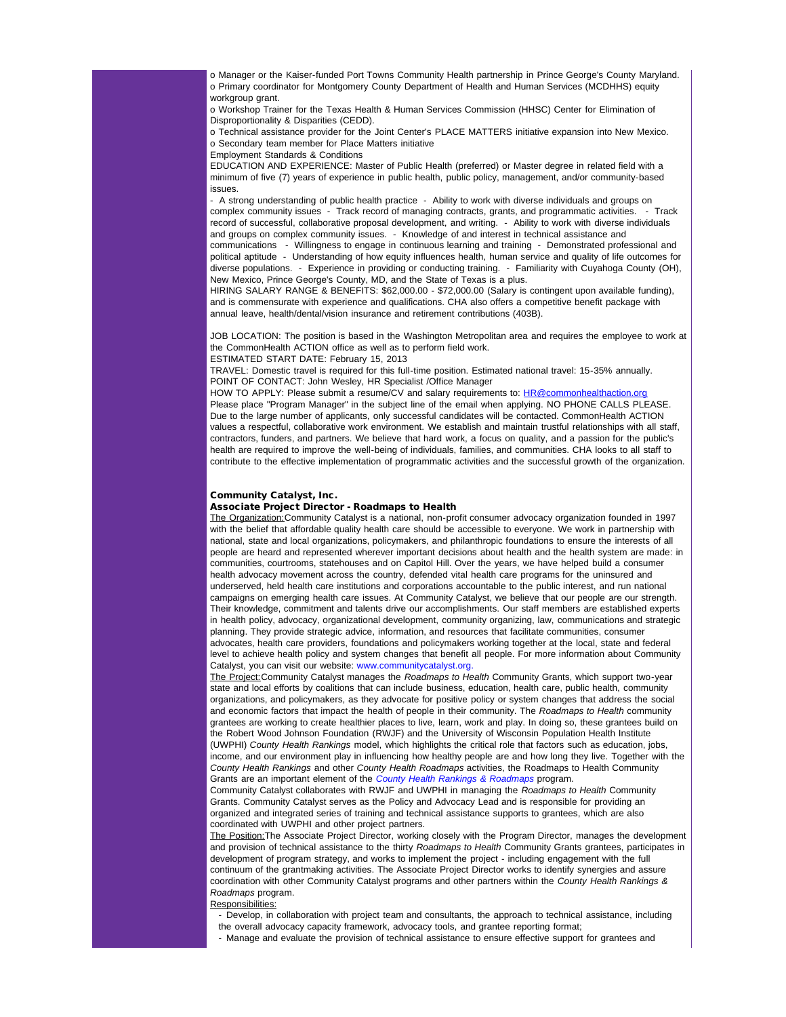o Manager or the Kaiser-funded Port Towns Community Health partnership in Prince George's County Maryland. o Primary coordinator for Montgomery County Department of Health and Human Services (MCDHHS) equity workgroup grant.

o Workshop Trainer for the Texas Health & Human Services Commission (HHSC) Center for Elimination of Disproportionality & Disparities (CEDD).

o Technical assistance provider for the Joint Center's PLACE MATTERS initiative expansion into New Mexico. o Secondary team member for Place Matters initiative

Employment Standards & Conditions

EDUCATION AND EXPERIENCE: Master of Public Health (preferred) or Master degree in related field with a minimum of five (7) years of experience in public health, public policy, management, and/or community-based issues.

- A strong understanding of public health practice - Ability to work with diverse individuals and groups on complex community issues - Track record of managing contracts, grants, and programmatic activities. - Track record of successful, collaborative proposal development, and writing. - Ability to work with diverse individuals and groups on complex community issues. - Knowledge of and interest in technical assistance and communications - Willingness to engage in continuous learning and training - Demonstrated professional and political aptitude - Understanding of how equity influences health, human service and quality of life outcomes for

diverse populations. - Experience in providing or conducting training. - Familiarity with Cuyahoga County (OH), New Mexico, Prince George's County, MD, and the State of Texas is a plus. HIRING SALARY RANGE & BENEFITS: \$62,000.00 - \$72,000.00 (Salary is contingent upon available funding),

and is commensurate with experience and qualifications. CHA also offers a competitive benefit package with annual leave, health/dental/vision insurance and retirement contributions (403B).

JOB LOCATION: The position is based in the Washington Metropolitan area and requires the employee to work at the CommonHealth ACTION office as well as to perform field work.

ESTIMATED START DATE: February 15, 2013

TRAVEL: Domestic travel is required for this full-time position. Estimated national travel: 15-35% annually. POINT OF CONTACT: John Wesley, HR Specialist /Office Manager

HOW TO APPLY: Please submit a resume/CV and salary requirements to: [HR@commonhealthaction.org](mailto:HR@commonhealthaction.org) Please place "Program Manager" in the subject line of the email when applying. NO PHONE CALLS PLEASE. Due to the large number of applicants, only successful candidates will be contacted. CommonHealth ACTION values a respectful, collaborative work environment. We establish and maintain trustful relationships with all staff, contractors, funders, and partners. We believe that hard work, a focus on quality, and a passion for the public's health are required to improve the well-being of individuals, families, and communities. CHA looks to all staff to contribute to the effective implementation of programmatic activities and the successful growth of the organization.

## Community Catalyst, Inc.

#### Associate Project Director - Roadmaps to Health

The Organization:Community Catalyst is a national, non-profit consumer advocacy organization founded in 1997 with the belief that affordable quality health care should be accessible to everyone. We work in partnership with national, state and local organizations, policymakers, and philanthropic foundations to ensure the interests of all people are heard and represented wherever important decisions about health and the health system are made: in communities, courtrooms, statehouses and on Capitol Hill. Over the years, we have helped build a consumer health advocacy movement across the country, defended vital health care programs for the uninsured and underserved, held health care institutions and corporations accountable to the public interest, and run national campaigns on emerging health care issues. At Community Catalyst, we believe that our people are our strength. Their knowledge, commitment and talents drive our accomplishments. Our staff members are established experts in health policy, advocacy, organizational development, community organizing, law, communications and strategic planning. They provide strategic advice, information, and resources that facilitate communities, consumer advocates, health care providers, foundations and policymakers working together at the local, state and federal level to achieve health policy and system changes that benefit all people. For more information about Community Catalyst, you can visit our website: www.communitycatalyst.org.

The Project:Community Catalyst manages the *Roadmaps to Health* Community Grants, which support two-year state and local efforts by coalitions that can include business, education, health care, public health, community organizations, and policymakers, as they advocate for positive policy or system changes that address the social and economic factors that impact the health of people in their community. The *Roadmaps to Health* community grantees are working to create healthier places to live, learn, work and play. In doing so, these grantees build on the Robert Wood Johnson Foundation (RWJF) and the University of Wisconsin Population Health Institute (UWPHI) *County Health Rankings* model, which highlights the critical role that factors such as education, jobs, income, and our environment play in influencing how healthy people are and how long they live. Together with the *County Health Rankings* and other *County Health Roadmaps* activities, the Roadmaps to Health Community Grants are an important element of the *County Health Rankings & Roadmaps* program.

Community Catalyst collaborates with RWJF and UWPHI in managing the *Roadmaps to Health* Community Grants. Community Catalyst serves as the Policy and Advocacy Lead and is responsible for providing an organized and integrated series of training and technical assistance supports to grantees, which are also coordinated with UWPHI and other project partners.

The Position:The Associate Project Director, working closely with the Program Director, manages the development and provision of technical assistance to the thirty *Roadmaps to Health* Community Grants grantees, participates in development of program strategy, and works to implement the project - including engagement with the full continuum of the grantmaking activities. The Associate Project Director works to identify synergies and assure coordination with other Community Catalyst programs and other partners within the *County Health Rankings & Roadmaps* program.

#### Responsibilities:

- Develop, in collaboration with project team and consultants, the approach to technical assistance, including the overall advocacy capacity framework, advocacy tools, and grantee reporting format;
- Manage and evaluate the provision of technical assistance to ensure effective support for grantees and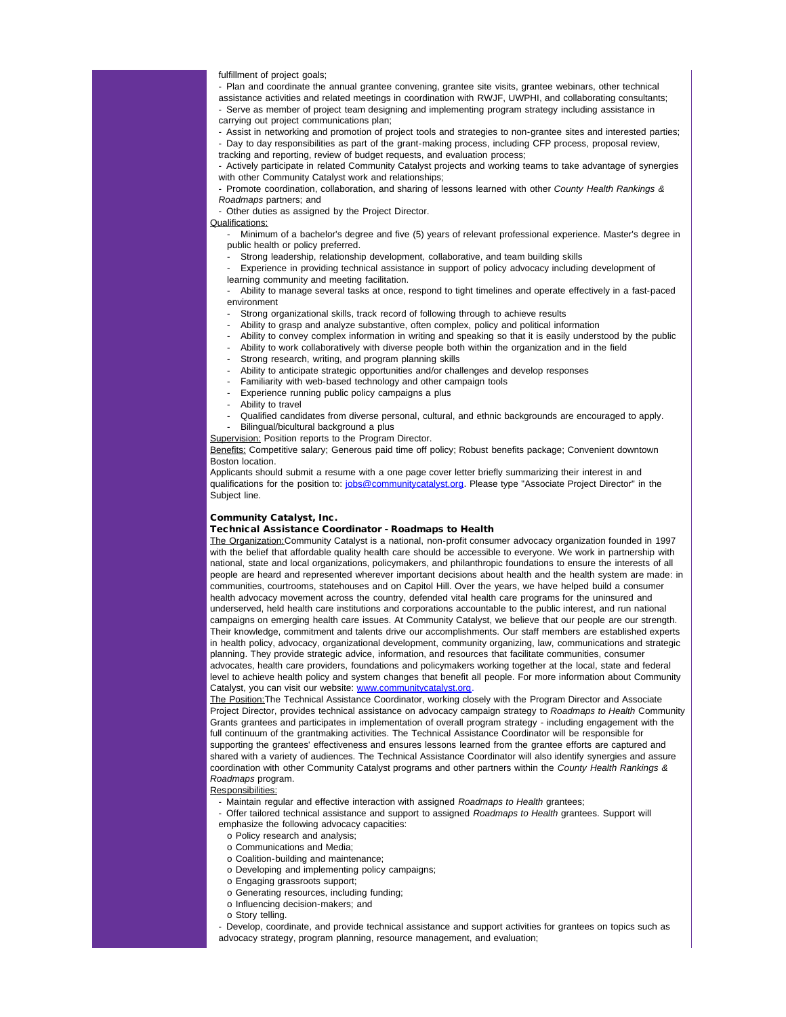fulfillment of project goals;

- Plan and coordinate the annual grantee convening, grantee site visits, grantee webinars, other technical assistance activities and related meetings in coordination with RWJF, UWPHI, and collaborating consultants;

- Serve as member of project team designing and implementing program strategy including assistance in carrying out project communications plan;

- Assist in networking and promotion of project tools and strategies to non-grantee sites and interested parties; - Day to day responsibilities as part of the grant-making process, including CFP process, proposal review, tracking and reporting, review of budget requests, and evaluation process;

- Actively participate in related Community Catalyst projects and working teams to take advantage of synergies with other Community Catalyst work and relationships;

- Promote coordination, collaboration, and sharing of lessons learned with other *County Health Rankings & Roadmaps* partners; and

- Other duties as assigned by the Project Director.

#### Qualifications:

- Minimum of a bachelor's degree and five (5) years of relevant professional experience. Master's degree in public health or policy preferred.

- Strong leadership, relationship development, collaborative, and team building skills

Experience in providing technical assistance in support of policy advocacy including development of learning community and meeting facilitation.

- Ability to manage several tasks at once, respond to tight timelines and operate effectively in a fast-paced environment

- Strong organizational skills, track record of following through to achieve results
- Ability to grasp and analyze substantive, often complex, policy and political information
- Ability to convey complex information in writing and speaking so that it is easily understood by the public
- Ability to work collaboratively with diverse people both within the organization and in the field
- Strong research, writing, and program planning skills
- Ability to anticipate strategic opportunities and/or challenges and develop responses
- Familiarity with web-based technology and other campaign tools
- Experience running public policy campaigns a plus
- Ability to travel
- Qualified candidates from diverse personal, cultural, and ethnic backgrounds are encouraged to apply. - Bilingual/bicultural background a plus
- Supervision: Position reports to the Program Director.

Benefits: Competitive salary; Generous paid time off policy; Robust benefits package; Convenient downtown Boston location.

Applicants should submit a resume with a one page cover letter briefly summarizing their interest in and qualifications for the position to: [jobs@communitycatalyst.org](mailto:jobs@communitycatalyst.org). Please type "Associate Project Director" in the Subject line.

#### Community Catalyst, Inc.

#### Technical Assistance Coordinator - Roadmaps to Health

The Organization:Community Catalyst is a national, non-profit consumer advocacy organization founded in 1997 with the belief that affordable quality health care should be accessible to everyone. We work in partnership with national, state and local organizations, policymakers, and philanthropic foundations to ensure the interests of all people are heard and represented wherever important decisions about health and the health system are made: in communities, courtrooms, statehouses and on Capitol Hill. Over the years, we have helped build a consumer health advocacy movement across the country, defended vital health care programs for the uninsured and underserved, held health care institutions and corporations accountable to the public interest, and run national campaigns on emerging health care issues. At Community Catalyst, we believe that our people are our strength. Their knowledge, commitment and talents drive our accomplishments. Our staff members are established experts in health policy, advocacy, organizational development, community organizing, law, communications and strategic planning. They provide strategic advice, information, and resources that facilitate communities, consumer advocates, health care providers, foundations and policymakers working together at the local, state and federal level to achieve health policy and system changes that benefit all people. For more information about Community Catalyst, you can visit our website: [www.communitycatalyst.org.](http://r20.rs6.net/tn.jsp?e=001DdGagPIseLthkI-LZQLAvThZdCvxeZWqEYZKLlQZlhYVqTUCKQxqNcPwcPhuyUXCpFhGvLkgqwqFMdS0cPP-0sBp8ltX6Z9cggNuIoGzafn7KJBmzEAOSg==)

The Position:The Technical Assistance Coordinator, working closely with the Program Director and Associate Project Director, provides technical assistance on advocacy campaign strategy to *Roadmaps to Health* Community Grants grantees and participates in implementation of overall program strategy - including engagement with the full continuum of the grantmaking activities. The Technical Assistance Coordinator will be responsible for supporting the grantees' effectiveness and ensures lessons learned from the grantee efforts are captured and shared with a variety of audiences. The Technical Assistance Coordinator will also identify synergies and assure coordination with other Community Catalyst programs and other partners within the *County Health Rankings & Roadmaps* program.

Responsibilities:

- Maintain regular and effective interaction with assigned *Roadmaps to Health* grantees;
- Offer tailored technical assistance and support to assigned *Roadmaps to Health* grantees. Support will emphasize the following advocacy capacities:
	- o Policy research and analysis;
	- o Communications and Media;
	- o Coalition-building and maintenance;
	- o Developing and implementing policy campaigns;
	- o Engaging grassroots support;
	- o Generating resources, including funding;
	- o Influencing decision-makers; and
	- o Story telling.
- Develop, coordinate, and provide technical assistance and support activities for grantees on topics such as advocacy strategy, program planning, resource management, and evaluation;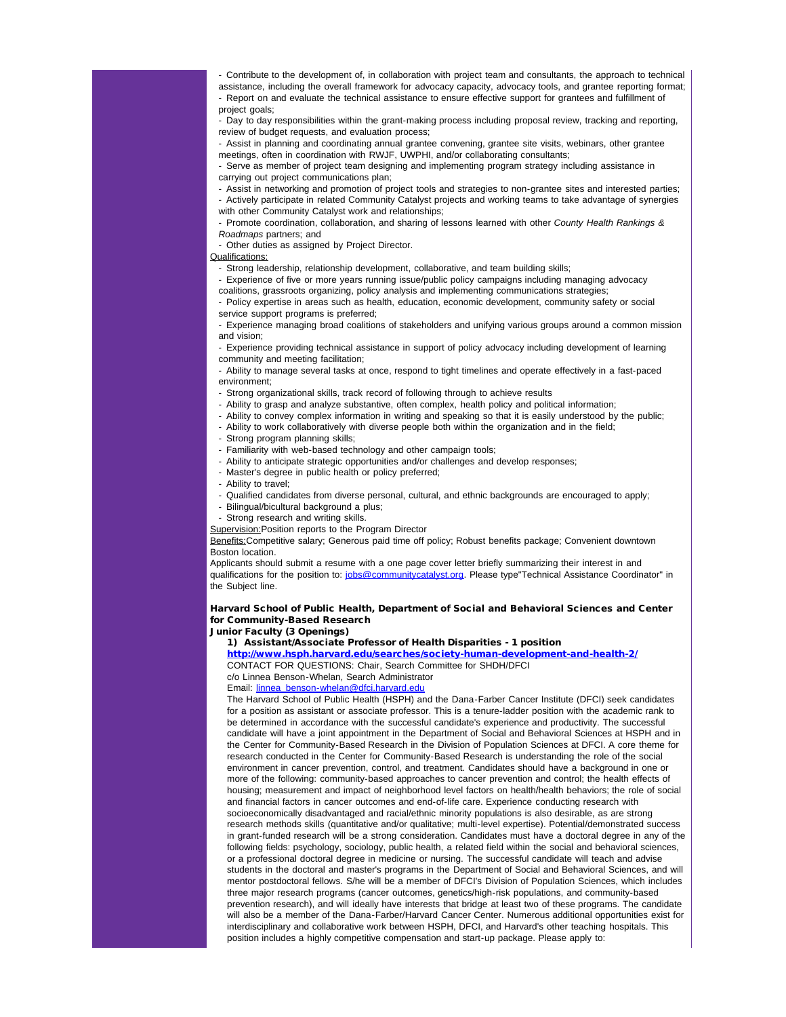- Contribute to the development of, in collaboration with project team and consultants, the approach to technical

assistance, including the overall framework for advocacy capacity, advocacy tools, and grantee reporting format; - Report on and evaluate the technical assistance to ensure effective support for grantees and fulfillment of

project goals;

- Day to day responsibilities within the grant-making process including proposal review, tracking and reporting, review of budget requests, and evaluation process;

- Assist in planning and coordinating annual grantee convening, grantee site visits, webinars, other grantee meetings, often in coordination with RWJF, UWPHI, and/or collaborating consultants;

- Serve as member of project team designing and implementing program strategy including assistance in carrying out project communications plan;

- Assist in networking and promotion of project tools and strategies to non-grantee sites and interested parties; - Actively participate in related Community Catalyst projects and working teams to take advantage of synergies with other Community Catalyst work and relationships;

- Promote coordination, collaboration, and sharing of lessons learned with other *County Health Rankings & Roadmaps* partners; and

- Other duties as assigned by Project Director.

Qualifications:

- Strong leadership, relationship development, collaborative, and team building skills;

- Experience of five or more years running issue/public policy campaigns including managing advocacy coalitions, grassroots organizing, policy analysis and implementing communications strategies;

- Policy expertise in areas such as health, education, economic development, community safety or social service support programs is preferred;

- Experience managing broad coalitions of stakeholders and unifying various groups around a common mission and vision;

- Experience providing technical assistance in support of policy advocacy including development of learning community and meeting facilitation;

- Ability to manage several tasks at once, respond to tight timelines and operate effectively in a fast-paced environment;

- Strong organizational skills, track record of following through to achieve results

- Ability to grasp and analyze substantive, often complex, health policy and political information;

- Ability to convey complex information in writing and speaking so that it is easily understood by the public;

- Ability to work collaboratively with diverse people both within the organization and in the field;
- Strong program planning skills;

- Familiarity with web-based technology and other campaign tools;

- Ability to anticipate strategic opportunities and/or challenges and develop responses;
- Master's degree in public health or policy preferred;
- Ability to travel;
- Qualified candidates from diverse personal, cultural, and ethnic backgrounds are encouraged to apply;
- Bilingual/bicultural background a plus;
- Strong research and writing skills.

Supervision:Position reports to the Program Director

Benefits:Competitive salary; Generous paid time off policy; Robust benefits package; Convenient downtown Boston location.

Applicants should submit a resume with a one page cover letter briefly summarizing their interest in and qualifications for the position to: [jobs@communitycatalyst.org](mailto:jobs@communitycatalyst.org). Please type"Technical Assistance Coordinator" in the Subject line.

Harvard School of Public Health, Department of Social and Behavioral Sciences and Center for Community-Based Research

Junior Faculty (3 Openings)

1) Assistant/Associate Professor of Health Disparities - 1 position

[http://www.hsph.harvard.edu/searches/society-human-development-and-health-2/](http://r20.rs6.net/tn.jsp?e=001DdGagPIseLtJvgegrekU65J12PvXadHgQbMy8tc6U3BUO0qRExsWvmoUT7H0tx7_wDHZf68U_cvJ0BLou19w4OohoifltE4XU1fixOIkQ1wwPVXIxCm9XFWY9NRU4-qRl6LCSsFVMLaliYkYKNE9oTTME8ECfk9SMBTfvPdfQGVZq_v4j3dXTg==) CONTACT FOR QUESTIONS: Chair, Search Committee for SHDH/DFCI

c/o Linnea Benson-Whelan, Search Administrator

Email: [linnea\\_benson-whelan@dfci.harvard.edu](mailto:linnea_benson-whelan@dfci.harvard.edu)

The Harvard School of Public Health (HSPH) and the Dana-Farber Cancer Institute (DFCI) seek candidates for a position as assistant or associate professor. This is a tenure-ladder position with the academic rank to be determined in accordance with the successful candidate's experience and productivity. The successful candidate will have a joint appointment in the Department of Social and Behavioral Sciences at HSPH and in the Center for Community-Based Research in the Division of Population Sciences at DFCI. A core theme for research conducted in the Center for Community-Based Research is understanding the role of the social environment in cancer prevention, control, and treatment. Candidates should have a background in one or more of the following: community-based approaches to cancer prevention and control; the health effects of housing; measurement and impact of neighborhood level factors on health/health behaviors; the role of social and financial factors in cancer outcomes and end-of-life care. Experience conducting research with socioeconomically disadvantaged and racial/ethnic minority populations is also desirable, as are strong research methods skills (quantitative and/or qualitative; multi-level expertise). Potential/demonstrated success in grant-funded research will be a strong consideration. Candidates must have a doctoral degree in any of the following fields: psychology, sociology, public health, a related field within the social and behavioral sciences, or a professional doctoral degree in medicine or nursing. The successful candidate will teach and advise students in the doctoral and master's programs in the Department of Social and Behavioral Sciences, and will mentor postdoctoral fellows. S/he will be a member of DFCI's Division of Population Sciences, which includes three major research programs (cancer outcomes, genetics/high-risk populations, and community-based prevention research), and will ideally have interests that bridge at least two of these programs. The candidate will also be a member of the Dana-Farber/Harvard Cancer Center. Numerous additional opportunities exist for interdisciplinary and collaborative work between HSPH, DFCI, and Harvard's other teaching hospitals. This position includes a highly competitive compensation and start-up package. Please apply to: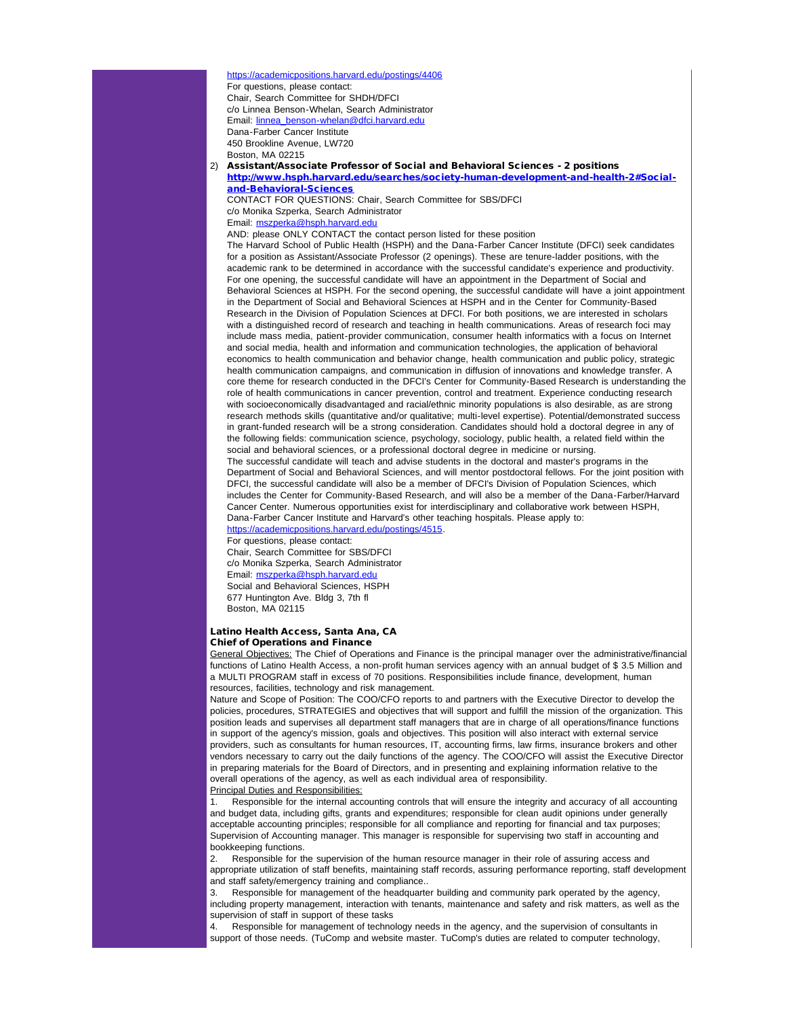[https://academicpositions.harvard.edu/postings/4406](http://r20.rs6.net/tn.jsp?e=001DdGagPIseLvoewUZmaRUuBLyeKQ35SX00okT-4ic7zrmQUtojEBvyazEDPMoE3KVb_687jKirQLkmCJAYfnldIMH9_gci1R-soe9E7htUSJU5PA9Dw33mXpkywhPWN8LUq1__PENLGK17-zLPTl2XA==) For questions, please contact: Chair, Search Committee for SHDH/DFCI c/o Linnea Benson-Whelan, Search Administrator Email: [linnea\\_benson-whelan@dfci.harvard.edu](mailto:linnea_benson-whelan@dfci.harvard.edu) Dana-Farber Cancer Institute 450 Brookline Avenue, LW720 Boston, MA 02215

2) Assistant/Associate Professor of Social and Behavioral Sciences - 2 positions [http://www.hsph.harvard.edu/searches/society-human-development-and-health-2#Social](http://r20.rs6.net/tn.jsp?e=001DdGagPIseLtgjngdfV1mrq_DRKTUMJL8FEnYyTZDaC9i7p_Ax9uy7yUvY7TqB9NLX5lvjXoZyiqyFH1nAAL8Zl4IV4ikq42X3Q1kPFyFoY96CUR9huG-9AxP47EmW0zqirtWrdCFjCVZOxZBpr8hVu4pJmYBSLWFbNrs-hKnxNxPhbmoOoIxJz9KVFl9jROjbKMxPJdrJHF-fieNWmE5ojKkiiIMLTok)[and-Behavioral-Sciences](http://r20.rs6.net/tn.jsp?e=001DdGagPIseLtgjngdfV1mrq_DRKTUMJL8FEnYyTZDaC9i7p_Ax9uy7yUvY7TqB9NLX5lvjXoZyiqyFH1nAAL8Zl4IV4ikq42X3Q1kPFyFoY96CUR9huG-9AxP47EmW0zqirtWrdCFjCVZOxZBpr8hVu4pJmYBSLWFbNrs-hKnxNxPhbmoOoIxJz9KVFl9jROjbKMxPJdrJHF-fieNWmE5ojKkiiIMLTok)

CONTACT FOR QUESTIONS: Chair, Search Committee for SBS/DFCI

c/o Monika Szperka, Search Administrator

Email: [mszperka@hsph.harvard.edu](mailto:mszperka@hsph.harvard.edu)

AND: please ONLY CONTACT the contact person listed for these position

The Harvard School of Public Health (HSPH) and the Dana-Farber Cancer Institute (DFCI) seek candidates for a position as Assistant/Associate Professor (2 openings). These are tenure-ladder positions, with the academic rank to be determined in accordance with the successful candidate's experience and productivity. For one opening, the successful candidate will have an appointment in the Department of Social and Behavioral Sciences at HSPH. For the second opening, the successful candidate will have a joint appointment in the Department of Social and Behavioral Sciences at HSPH and in the Center for Community-Based Research in the Division of Population Sciences at DFCI. For both positions, we are interested in scholars with a distinguished record of research and teaching in health communications. Areas of research foci may include mass media, patient-provider communication, consumer health informatics with a focus on Internet and social media, health and information and communication technologies, the application of behavioral economics to health communication and behavior change, health communication and public policy, strategic health communication campaigns, and communication in diffusion of innovations and knowledge transfer. A core theme for research conducted in the DFCI's Center for Community-Based Research is understanding the role of health communications in cancer prevention, control and treatment. Experience conducting research with socioeconomically disadvantaged and racial/ethnic minority populations is also desirable, as are strong research methods skills (quantitative and/or qualitative; multi-level expertise). Potential/demonstrated success in grant-funded research will be a strong consideration. Candidates should hold a doctoral degree in any of the following fields: communication science, psychology, sociology, public health, a related field within the social and behavioral sciences, or a professional doctoral degree in medicine or nursing.

The successful candidate will teach and advise students in the doctoral and master's programs in the Department of Social and Behavioral Sciences, and will mentor postdoctoral fellows. For the joint position with DFCI, the successful candidate will also be a member of DFCI's Division of Population Sciences, which includes the Center for Community-Based Research, and will also be a member of the Dana-Farber/Harvard Cancer Center. Numerous opportunities exist for interdisciplinary and collaborative work between HSPH, Dana-Farber Cancer Institute and Harvard's other teaching hospitals. Please apply to: [https://academicpositions.harvard.edu/postings/4515.](http://r20.rs6.net/tn.jsp?e=001DdGagPIseLvbZeSdV7s7lyBqNWqkw8tnrfPff_UZSxkHS6QuTrN_eIVN_8vw_TSM5_eixUMcYOYY4yw4tjwHzuqb8g7NA-bnMVH1HDnv3_EzpTWi5iMZ2av0edIBWDDRJHZ9YJw1TT3dDf4c_D1A9Q==)

For questions, please contact: Chair, Search Committee for SBS/DFCI c/o Monika Szperka, Search Administrator Email: [mszperka@hsph.harvard.edu](mailto:mszperka@hsph.harvard.edu) Social and Behavioral Sciences, HSPH 677 Huntington Ave. Bldg 3, 7th fl

Boston, MA 02115

#### Latino Health Access, Santa Ana, CA Chief of Operations and Finance

General Objectives: The Chief of Operations and Finance is the principal manager over the administrative/financial functions of Latino Health Access, a non-profit human services agency with an annual budget of \$ 3.5 Million and a MULTI PROGRAM staff in excess of 70 positions. Responsibilities include finance, development, human resources, facilities, technology and risk management.

Nature and Scope of Position: The COO/CFO reports to and partners with the Executive Director to develop the policies, procedures, STRATEGIES and objectives that will support and fulfill the mission of the organization. This position leads and supervises all department staff managers that are in charge of all operations/finance functions in support of the agency's mission, goals and objectives. This position will also interact with external service providers, such as consultants for human resources, IT, accounting firms, law firms, insurance brokers and other vendors necessary to carry out the daily functions of the agency. The COO/CFO will assist the Executive Director in preparing materials for the Board of Directors, and in presenting and explaining information relative to the overall operations of the agency, as well as each individual area of responsibility.

Principal Duties and Responsibilities:

Responsible for the internal accounting controls that will ensure the integrity and accuracy of all accounting and budget data, including gifts, grants and expenditures; responsible for clean audit opinions under generally acceptable accounting principles; responsible for all compliance and reporting for financial and tax purposes; Supervision of Accounting manager. This manager is responsible for supervising two staff in accounting and bookkeeping functions.

2. Responsible for the supervision of the human resource manager in their role of assuring access and appropriate utilization of staff benefits, maintaining staff records, assuring performance reporting, staff development and staff safety/emergency training and compliance..

3. Responsible for management of the headquarter building and community park operated by the agency, including property management, interaction with tenants, maintenance and safety and risk matters, as well as the supervision of staff in support of these tasks

4. Responsible for management of technology needs in the agency, and the supervision of consultants in support of those needs. (TuComp and website master. TuComp's duties are related to computer technology,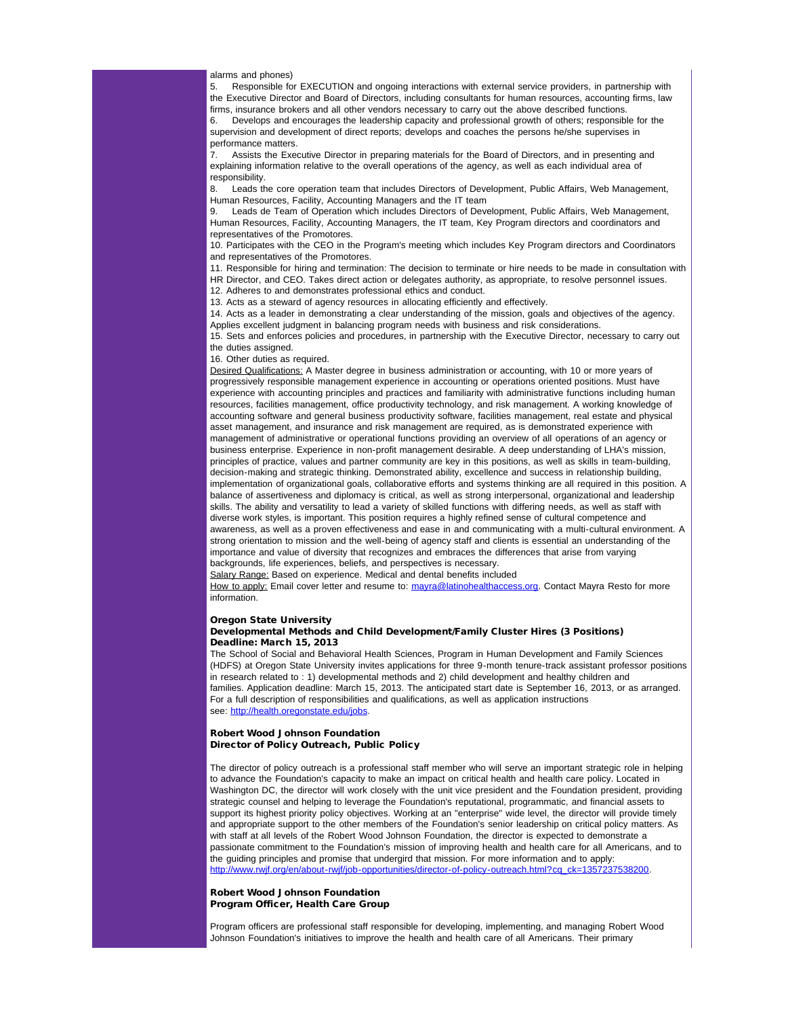#### alarms and phones)

5. Responsible for EXECUTION and ongoing interactions with external service providers, in partnership with the Executive Director and Board of Directors, including consultants for human resources, accounting firms, law firms, insurance brokers and all other vendors necessary to carry out the above described functions.

6. Develops and encourages the leadership capacity and professional growth of others; responsible for the supervision and development of direct reports; develops and coaches the persons he/she supervises in performance matters.

7. Assists the Executive Director in preparing materials for the Board of Directors, and in presenting and explaining information relative to the overall operations of the agency, as well as each individual area of responsibility.

8. Leads the core operation team that includes Directors of Development, Public Affairs, Web Management, Human Resources, Facility, Accounting Managers and the IT team

9. Leads de Team of Operation which includes Directors of Development, Public Affairs, Web Management, Human Resources, Facility, Accounting Managers, the IT team, Key Program directors and coordinators and representatives of the Promotores.

10. Participates with the CEO in the Program's meeting which includes Key Program directors and Coordinators and representatives of the Promotores.

11. Responsible for hiring and termination: The decision to terminate or hire needs to be made in consultation with HR Director, and CEO. Takes direct action or delegates authority, as appropriate, to resolve personnel issues. 12. Adheres to and demonstrates professional ethics and conduct.

13. Acts as a steward of agency resources in allocating efficiently and effectively.

14. Acts as a leader in demonstrating a clear understanding of the mission, goals and objectives of the agency.

Applies excellent judgment in balancing program needs with business and risk considerations.

15. Sets and enforces policies and procedures, in partnership with the Executive Director, necessary to carry out the duties assigned.

16. Other duties as required.

Desired Qualifications: A Master degree in business administration or accounting, with 10 or more years of progressively responsible management experience in accounting or operations oriented positions. Must have experience with accounting principles and practices and familiarity with administrative functions including human resources, facilities management, office productivity technology, and risk management. A working knowledge of accounting software and general business productivity software, facilities management, real estate and physical asset management, and insurance and risk management are required, as is demonstrated experience with management of administrative or operational functions providing an overview of all operations of an agency or business enterprise. Experience in non-profit management desirable. A deep understanding of LHA's mission, principles of practice, values and partner community are key in this positions, as well as skills in team-building, decision-making and strategic thinking. Demonstrated ability, excellence and success in relationship building, implementation of organizational goals, collaborative efforts and systems thinking are all required in this position. A balance of assertiveness and diplomacy is critical, as well as strong interpersonal, organizational and leadership skills. The ability and versatility to lead a variety of skilled functions with differing needs, as well as staff with diverse work styles, is important. This position requires a highly refined sense of cultural competence and awareness, as well as a proven effectiveness and ease in and communicating with a multi-cultural environment. A strong orientation to mission and the well-being of agency staff and clients is essential an understanding of the importance and value of diversity that recognizes and embraces the differences that arise from varying backgrounds, life experiences, beliefs, and perspectives is necessary.

Salary Range: Based on experience. Medical and dental benefits included

How to apply: Email cover letter and resume to: [mayra@latinohealthaccess.org.](mailto:mayra@latinohealthaccess.org) Contact Mayra Resto for more information.

#### Oregon State University

#### Developmental Methods and Child Development/Family Cluster Hires (3 Positions) Deadline: March 15, 2013

The School of Social and Behavioral Health Sciences, Program in Human Development and Family Sciences (HDFS) at Oregon State University invites applications for three 9-month tenure-track assistant professor positions in research related to : 1) developmental methods and 2) child development and healthy children and families. Application deadline: March 15, 2013. The anticipated start date is September 16, 2013, or as arranged. For a full description of responsibilities and qualifications, as well as application instructions see: [http://health.oregonstate.edu/jobs.](http://r20.rs6.net/tn.jsp?e=001DdGagPIseLvAEPB3j6B0Vqaui55Ep-sTU3T6hb3QOqcZ_-N6vYuluvZftIQRyar0NSZJD2u8fCi8aTfKWJrSlzs9BYRm_eorVeiH-4bqYjdLeppBz7au5Jb0fv4gk4lQ)

## Robert Wood Johnson Foundation Director of Policy Outreach, Public Policy

The director of policy outreach is a professional staff member who will serve an important strategic role in helping to advance the Foundation's capacity to make an impact on critical health and health care policy. Located in Washington DC, the director will work closely with the unit vice president and the Foundation president, providing strategic counsel and helping to leverage the Foundation's reputational, programmatic, and financial assets to support its highest priority policy objectives. Working at an "enterprise" wide level, the director will provide timely and appropriate support to the other members of the Foundation's senior leadership on critical policy matters. As with staff at all levels of the Robert Wood Johnson Foundation, the director is expected to demonstrate a passionate commitment to the Foundation's mission of improving health and health care for all Americans, and to the guiding principles and promise that undergird that mission. For more information and to apply: [http://www.rwjf.org/en/about-rwjf/job-opportunities/director-of-policy-outreach.html?cq\\_ck=1357237538200.](http://r20.rs6.net/tn.jsp?e=001DdGagPIseLtGUXkMDqoOHjs7Q_lc6bhuXpqybCUgW9CZxHq0MDL_VP1WyGdl51rK4Gxs3Qp5VU0kNe2CAfJCloDU9noS-Pza7aBjSLaf4CcSBgM42w0wLT56zMPDTga8MefdIc_JhZVCjeBzdoXl7vLRZ7V_L-0_2LvYU9sHywp-_6OAgad8XL8pA-YKDcQV2kWEaB01ZkkYR41Pi2TKuj0q7o83spG5QnbUTZ17fF4=)

## Robert Wood Johnson Foundation Program Officer, Health Care Group

Program officers are professional staff responsible for developing, implementing, and managing Robert Wood Johnson Foundation's initiatives to improve the health and health care of all Americans. Their primary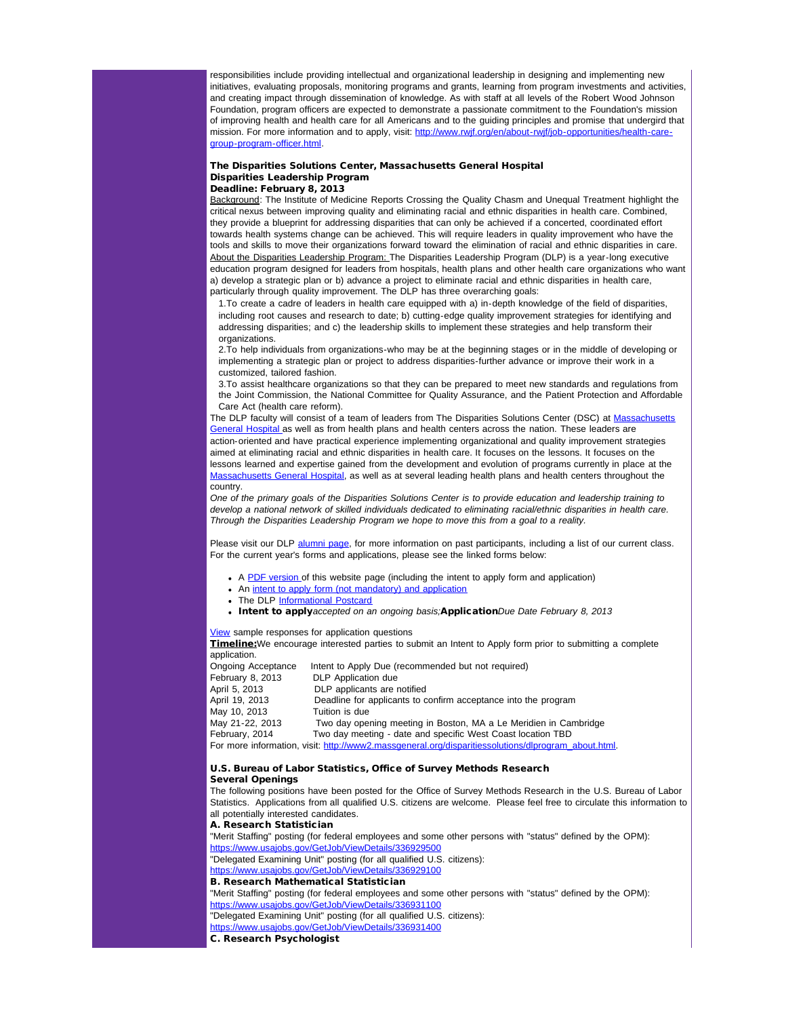responsibilities include providing intellectual and organizational leadership in designing and implementing new initiatives, evaluating proposals, monitoring programs and grants, learning from program investments and activities, and creating impact through dissemination of knowledge. As with staff at all levels of the Robert Wood Johnson Foundation, program officers are expected to demonstrate a passionate commitment to the Foundation's mission of improving health and health care for all Americans and to the guiding principles and promise that undergird that mission. For more information and to apply, visit: [http://www.rwjf.org/en/about-rwjf/job-opportunities/health-care](http://r20.rs6.net/tn.jsp?e=001DdGagPIseLukW6QVwsxRg9JKdR1R-KcVnL5_s80L01aMQLxuol4Si6ahNN7gJVimSjOHbKdGbUKzXrK740lDDQJpOQMOiYsjMoZPZNr5oDafAzO6-y3M62vIZf0ApdzpawFsVQOiap1HvnlkYWn2Q1RwI2HV23wMlhEkbhxvUdmzsSyD0DjeKWOQ9ZdwRVhNNeXYow0_a0U=)[group-program-officer.html.](http://r20.rs6.net/tn.jsp?e=001DdGagPIseLukW6QVwsxRg9JKdR1R-KcVnL5_s80L01aMQLxuol4Si6ahNN7gJVimSjOHbKdGbUKzXrK740lDDQJpOQMOiYsjMoZPZNr5oDafAzO6-y3M62vIZf0ApdzpawFsVQOiap1HvnlkYWn2Q1RwI2HV23wMlhEkbhxvUdmzsSyD0DjeKWOQ9ZdwRVhNNeXYow0_a0U=)

#### The Disparities Solutions Center, Massachusetts General Hospital Disparities Leadership Program Deadline: February 8, 2013

Background: The Institute of Medicine Reports Crossing the Quality Chasm and Unequal Treatment highlight the critical nexus between improving quality and eliminating racial and ethnic disparities in health care. Combined, they provide a blueprint for addressing disparities that can only be achieved if a concerted, coordinated effort towards health systems change can be achieved. This will require leaders in quality improvement who have the tools and skills to move their organizations forward toward the elimination of racial and ethnic disparities in care. About the Disparities Leadership Program: The Disparities Leadership Program (DLP) is a year-long executive education program designed for leaders from hospitals, health plans and other health care organizations who want a) develop a strategic plan or b) advance a project to eliminate racial and ethnic disparities in health care, particularly through quality improvement. The DLP has three overarching goals:

1.To create a cadre of leaders in health care equipped with a) in-depth knowledge of the field of disparities, including root causes and research to date; b) cutting-edge quality improvement strategies for identifying and addressing disparities; and c) the leadership skills to implement these strategies and help transform their organizations.

2.To help individuals from organizations-who may be at the beginning stages or in the middle of developing or implementing a strategic plan or project to address disparities-further advance or improve their work in a customized, tailored fashion.

3.To assist healthcare organizations so that they can be prepared to meet new standards and regulations from the Joint Commission, the National Committee for Quality Assurance, and the Patient Protection and Affordable Care Act (health care reform).

The DLP faculty will consist of a team of leaders from The Disparities Solutions Center (DSC) at [Massachusetts](http://r20.rs6.net/tn.jsp?e=001DdGagPIseLukds2G4uhoDvBdXQmy8r9tMmRa3IQiyJ-w22q0cJ3mSovxCLtc7lc5dls4lPkSl2n-Vh-xyvWl62S1uVWB6llpNeL11MSW1gsLC02GQ_ABUmzwWz3nR86bwDsiv5bYZfSG-dK-mhGE6g==) [General Hospital](http://r20.rs6.net/tn.jsp?e=001DdGagPIseLukds2G4uhoDvBdXQmy8r9tMmRa3IQiyJ-w22q0cJ3mSovxCLtc7lc5dls4lPkSl2n-Vh-xyvWl62S1uVWB6llpNeL11MSW1gsLC02GQ_ABUmzwWz3nR86bwDsiv5bYZfSG-dK-mhGE6g==) as well as from health plans and health centers across the nation. These leaders are action-oriented and have practical experience implementing organizational and quality improvement strategies aimed at eliminating racial and ethnic disparities in health care. It focuses on the lessons. It focuses on the lessons learned and expertise gained from the development and evolution of programs currently in place at the [Massachusetts General Hospital](http://r20.rs6.net/tn.jsp?e=001DdGagPIseLukds2G4uhoDvBdXQmy8r9tMmRa3IQiyJ-w22q0cJ3mSovxCLtc7lc5dls4lPkSl2n-Vh-xyvWl62S1uVWB6llpNeL11MSW1gsLC02GQ_ABUmzwWz3nR86bwDsiv5bYZfSG-dK-mhGE6g==), as well as at several leading health plans and health centers throughout the country.

*One of the primary goals of the Disparities Solutions Center is to provide education and leadership training to develop a national network of skilled individuals dedicated to eliminating racial/ethnic disparities in health care. Through the Disparities Leadership Program we hope to move this from a goal to a reality.*

Please visit our DLP [alumni page](http://r20.rs6.net/tn.jsp?e=001DdGagPIseLtaKQs9NZqhab6idyxUk4Km_6NV00URACnTTVraMwBA7PVT-2b-KhDirfmd1LncvSF6kne17nJ4BCHH0wwwM5yRdCBE5tTlfBys5f-cJ8MTyZduAAEZQ-DPoTXwIhFPB4A54MlF-TA1DgfOAvGFKm5mZzm-cA9qwoJj4NX-EN8syw==), for more information on past participants, including a list of our current class. For the current year's forms and applications, please see the linked forms below:

- A [PDF version o](http://r20.rs6.net/tn.jsp?e=001DdGagPIseLt3e-FYWcecknaP0jigayxC2lAU0lht8o3LltnRoTUnRTuEZNDWoxTt5x5s7wKS9Kuu69rERcU_3U0XT0zRtLcEwMiJYo32j6YTMw4yE05rI-K2XyEVWMJ5l1tXi0z3glRV4tzCjVEoN6VnP4bS3WuxOolc5yJ9h7t8TtHMlhsPOh9XbPjmKDglxFCoE2pzjYOT5dmKXMLs2mrfEarGMqkJA4tdogvSvUE=)f this website page (including the intent to apply form and application)
- An [intent to apply form \(not mandatory\) and application](http://r20.rs6.net/tn.jsp?e=001DdGagPIseLvbij8AB3T8DMfHz3Jg7P1ANIAYYK-p0Qjqfrii1smKLu5azwA3XZupS0U2aVM7dXucVjjAirnsT45zPqYOeeuITIi956AUhXyDuBYv6MdO9hWiTj9lh2vmxV_DDzAM1C37PNaG0zMr_7_-MpmC1Zk2ViZI-tYpqpeMPC-3tl55nz7KDtK8aE7BwcdUL9ucTU_oX0jS0WShJarZCaiPMkpzp1plJY_2iToEdeowO4MLDg==)
- The DLP [Informational Postcard](http://r20.rs6.net/tn.jsp?e=001DdGagPIseLsnBFGWkH93potdq35eUtJrZ0BAhInmXDVcsUUFgqutoXcercyBkP3uFMXOz_KIfzNXtHrBEiVou_M6lFPTUWzDYBXvWbZdansOiubDBmbtGJmrwh77dMfp4hYSyxOioaBnIV6nJH2-jxknoEPYThspzEFqitK9LNRUe2Y34PU8BtA5tSbQ3aAe4LoDAdNTdtM=)
- Intent to apply*accepted on an ongoing basis;*Application*Due Date February 8, 2013*

**[View](http://r20.rs6.net/tn.jsp?e=001DdGagPIseLuRWW3crStVnjuhRO5IQ_4EguiPNcOnSfkDuij_mvOQzLfppSWUtglyhQoHYYgnNvo2eRxtNIN-tYEuz4ew_QQSovJTBZ5WXGPuhAlnYwT0rP7DBVTWGcE8hXk1gi_tX3i1g9L5JKME_Uol2ABb0MlyVrhPNmP9NC8pC_6tRc4fcw==)** sample responses for application questions

**Timeline:**We encourage interested parties to submit an Intent to Apply form prior to submitting a complete application.

Ongoing Acceptance Intent to Apply Due (recommended but not required)<br>February 8, 2013 DLP Application due February 8, 2013 DLP Application due<br>
April 5, 2013 DLP applicants are r DLP applicants are notified April 19, 2013 Deadline for applicants to confirm acceptance into the program May 10, 2013 Tuition is due<br>May 21-22, 2013 Two day ope Two day opening meeting in Boston, MA a Le Meridien in Cambridge February, 2014 Two day meeting - date and specific West Coast location TBD For more information, visit: [http://www2.massgeneral.org/disparitiessolutions/dlprogram\\_about.html.](http://r20.rs6.net/tn.jsp?e=001DdGagPIseLukW6QVwsxRg6_nluUujmv-jVq88CH5_LMw8r5C352tOvKDrRB6CpVTqa2TDXGEkBUVqMKJDpkQqYnOUjrPT8VcnCD3WbZsujKQidbfUyReoeq-ot9ZghvywGvYjXPFT-e72_G_y_8KbaCQ1gWHKheTh879BYFtEaM=)

#### U.S. Bureau of Labor Statistics, Office of Survey Methods Research Several Openings

The following positions have been posted for the Office of Survey Methods Research in the U.S. Bureau of Labor Statistics. Applications from all qualified U.S. citizens are welcome. Please feel free to circulate this information to all potentially interested candidates.

## A. Research Statistician

"Merit Staffing" posting (for federal employees and some other persons with "status" defined by the OPM): [https://www.usajobs.gov/GetJob/ViewDetails/336929500](http://r20.rs6.net/tn.jsp?e=001DdGagPIseLtKBwDJoaNy5t0NwRTBPt5mbfgjroqYJOzhMkASCPxFnS1gJA7sz4WpEj59A3woY1JXkMIm6lZH1S3M_6ZsY0utmXgEOX6OftCEwdNZ-gY7lvGDid82uD-YONpZ4haIQuGyEClqS8m_HQ==)

"Delegated Examining Unit" posting (for all qualified U.S. citizens):

#### [https://www.usajobs.gov/GetJob/ViewDetails/336929100](http://r20.rs6.net/tn.jsp?e=001DdGagPIseLvi-RIHQ2V7yWR-rZWaOZB9vR64F-OMas1ltfiVTHhL0pYuLocQDsnNzTmcUbpXg9mB7xke-BAK74zI8hXePeWfngCSzND_WrMuQDfBXhVNQlH-PfJw_ZdbVOOYIqf15UwnAIu6_ESTiQ==) B. Research Mathematical Statistician

"Merit Staffing" posting (for federal employees and some other persons with "status" defined by the OPM): [https://www.usajobs.gov/GetJob/ViewDetails/336931100](http://r20.rs6.net/tn.jsp?e=001DdGagPIseLu1MZvOG-9zS3bJ4yJeGJtpMBGCtF_1-vXEUll5mW7wYXCX_APzp3A-78l6I9259xRaILLFj_MKaAN9KX_Fu0URIIDQ5Bf90wrdhtoYCMlVNyKnEYrN-n_OnjYfoaV7URRww3B6S4_BtA==)

"Delegated Examining Unit" posting (for all qualified U.S. citizens):

[https://www.usajobs.gov/GetJob/ViewDetails/336931400](http://r20.rs6.net/tn.jsp?e=001DdGagPIseLtOqIlqygmIFdBv4aNtAk3UXuEJJsPpfZRCLWvVeJzobnV5JElfoboD6IUBFduG_Wq1YV7wyIBNYEjVLRUvXo3Pln61byFISVXO0_92oxG5eKsZGXhylCdaNOzfhXH5c0d1SbcHWtzZbw==)

C. Research Psychologist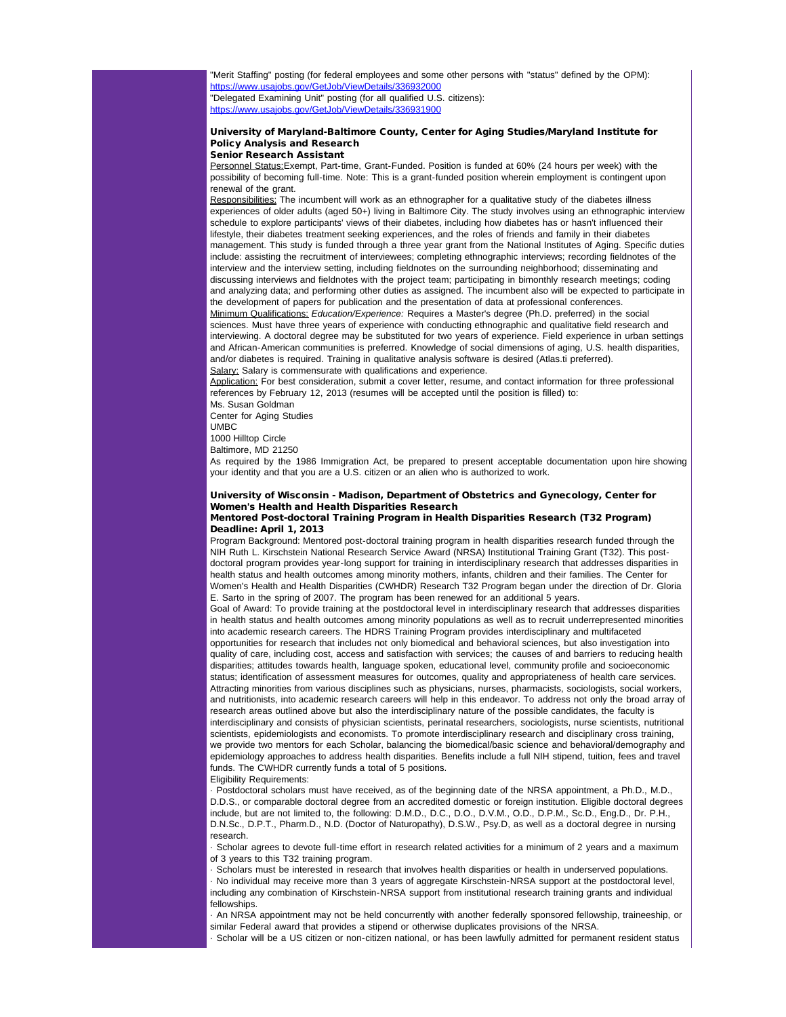"Merit Staffing" posting (for federal employees and some other persons with "status" defined by the OPM): [https://www.usajobs.gov/GetJob/ViewDetails/336932000](http://r20.rs6.net/tn.jsp?e=001DdGagPIseLvCFL7Sw8zYW5Qsf7xPaGj8EcxWAylxi03afl-VlmK3cxwad_09tOx1kOc4kKmCgdt9dUXWRmvYaJFIvn55p6HYtrCSi6UA-FNDXGeEYvUNROzULVOLFPcNOI9EF-DZNDmp_aBdstDl6A==) "Delegated Examining Unit" posting (for all qualified U.S. citizens): [https://www.usajobs.gov/GetJob/ViewDetails/336931900](http://r20.rs6.net/tn.jsp?e=001DdGagPIseLuA7hsJa4SXKnHEsp5tZPzmZiWJqkoqzM811NzO4ccan7J72KPe6mev8LHpIAWDxCW0v11cx43B7Jy-o2-A7YO3VaXnZzDN6zoKr0idTxuvPHkwJp9RuC4txp03KEP1ydKWLRmpnikw9Q==)

## University of Maryland-Baltimore County, Center for Aging Studies/Maryland Institute for Policy Analysis and Research

Senior Research Assistant

Personnel Status:Exempt, Part-time, Grant-Funded. Position is funded at 60% (24 hours per week) with the possibility of becoming full-time. Note: This is a grant-funded position wherein employment is contingent upon renewal of the grant.

Responsibilities: The incumbent will work as an ethnographer for a qualitative study of the diabetes illness experiences of older adults (aged 50+) living in Baltimore City. The study involves using an ethnographic interview schedule to explore participants' views of their diabetes, including how diabetes has or hasn't influenced their lifestyle, their diabetes treatment seeking experiences, and the roles of friends and family in their diabetes management. This study is funded through a three year grant from the National Institutes of Aging. Specific duties include: assisting the recruitment of interviewees; completing ethnographic interviews; recording fieldnotes of the interview and the interview setting, including fieldnotes on the surrounding neighborhood; disseminating and discussing interviews and fieldnotes with the project team; participating in bimonthly research meetings; coding and analyzing data; and performing other duties as assigned. The incumbent also will be expected to participate in the development of papers for publication and the presentation of data at professional conferences. Minimum Qualifications: *Education/Experience:* Requires a Master's degree (Ph.D. preferred) in the social sciences. Must have three years of experience with conducting ethnographic and qualitative field research and

interviewing. A doctoral degree may be substituted for two years of experience. Field experience in urban settings and African-American communities is preferred. Knowledge of social dimensions of aging, U.S. health disparities, and/or diabetes is required. Training in qualitative analysis software is desired (Atlas.ti preferred). Salary: Salary is commensurate with qualifications and experience.

Application: For best consideration, submit a cover letter, resume, and contact information for three professional references by February 12, 2013 (resumes will be accepted until the position is filled) to: Ms. Susan Goldman

Center for Aging Studies

UMBC

1000 Hilltop Circle

Baltimore, MD 21250

As required by the 1986 Immigration Act, be prepared to present acceptable documentation upon hire showing your identity and that you are a U.S. citizen or an alien who is authorized to work.

## University of Wisconsin - Madison, Department of Obstetrics and Gynecology, Center for Women's Health and Health Disparities Research

### Mentored Post-doctoral Training Program in Health Disparities Research (T32 Program) Deadline: April 1, 2013

Program Background: Mentored post-doctoral training program in health disparities research funded through the NIH Ruth L. Kirschstein National Research Service Award (NRSA) Institutional Training Grant (T32). This postdoctoral program provides year-long support for training in interdisciplinary research that addresses disparities in health status and health outcomes among minority mothers, infants, children and their families. The Center for Women's Health and Health Disparities (CWHDR) Research T32 Program began under the direction of Dr. Gloria E. Sarto in the spring of 2007. The program has been renewed for an additional 5 years.

Goal of Award: To provide training at the postdoctoral level in interdisciplinary research that addresses disparities in health status and health outcomes among minority populations as well as to recruit underrepresented minorities into academic research careers. The HDRS Training Program provides interdisciplinary and multifaceted opportunities for research that includes not only biomedical and behavioral sciences, but also investigation into quality of care, including cost, access and satisfaction with services; the causes of and barriers to reducing health disparities; attitudes towards health, language spoken, educational level, community profile and socioeconomic status; identification of assessment measures for outcomes, quality and appropriateness of health care services. Attracting minorities from various disciplines such as physicians, nurses, pharmacists, sociologists, social workers, and nutritionists, into academic research careers will help in this endeavor. To address not only the broad array of research areas outlined above but also the interdisciplinary nature of the possible candidates, the faculty is interdisciplinary and consists of physician scientists, perinatal researchers, sociologists, nurse scientists, nutritional scientists, epidemiologists and economists. To promote interdisciplinary research and disciplinary cross training, we provide two mentors for each Scholar, balancing the biomedical/basic science and behavioral/demography and epidemiology approaches to address health disparities. Benefits include a full NIH stipend, tuition, fees and travel funds. The CWHDR currently funds a total of 5 positions.

Eligibility Requirements:

· Postdoctoral scholars must have received, as of the beginning date of the NRSA appointment, a Ph.D., M.D., D.D.S., or comparable doctoral degree from an accredited domestic or foreign institution. Eligible doctoral degrees include, but are not limited to, the following: D.M.D., D.C., D.O., D.V.M., O.D., D.P.M., Sc.D., Eng.D., Dr. P.H., D.N.Sc., D.P.T., Pharm.D., N.D. (Doctor of Naturopathy), D.S.W., Psy.D, as well as a doctoral degree in nursing research.

· Scholar agrees to devote full-time effort in research related activities for a minimum of 2 years and a maximum of 3 years to this T32 training program.

· Scholars must be interested in research that involves health disparities or health in underserved populations. · No individual may receive more than 3 years of aggregate Kirschstein-NRSA support at the postdoctoral level, including any combination of Kirschstein-NRSA support from institutional research training grants and individual fellowships.

· An NRSA appointment may not be held concurrently with another federally sponsored fellowship, traineeship, or similar Federal award that provides a stipend or otherwise duplicates provisions of the NRSA.

Scholar will be a US citizen or non-citizen national, or has been lawfully admitted for permanent resident status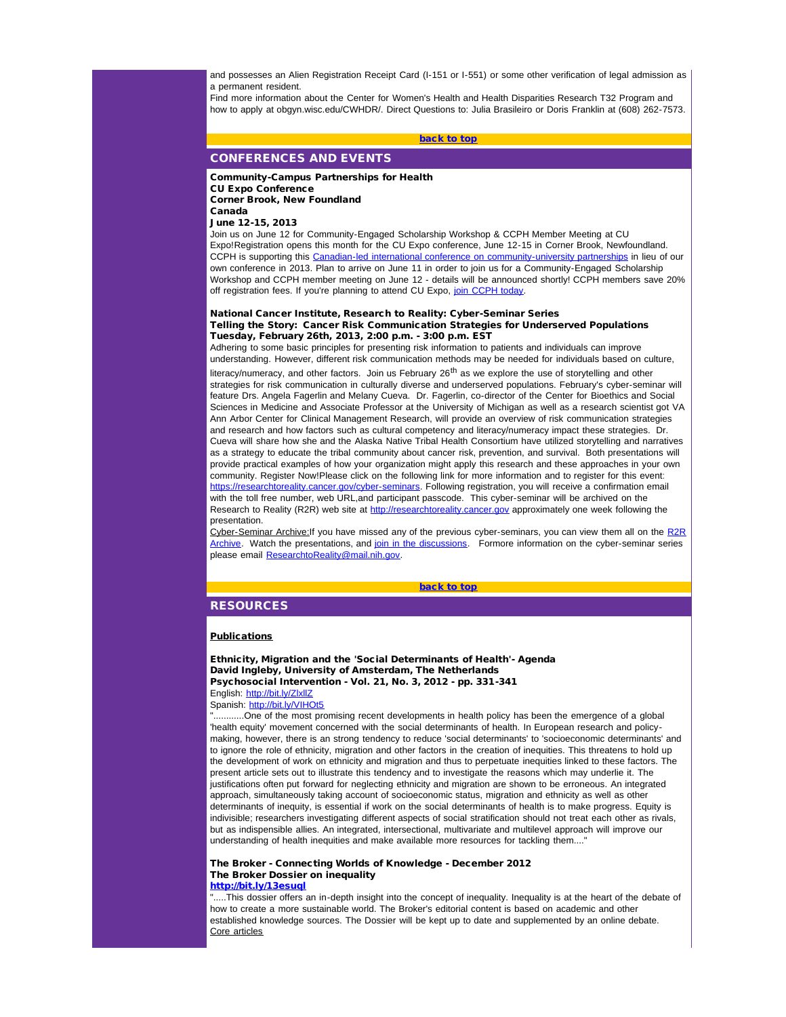<span id="page-12-0"></span>and possesses an Alien Registration Receipt Card (I-151 or I-551) or some other verification of legal admission as a permanent resident.

Find more information about the Center for Women's Health and Health Disparities Research T32 Program and how to apply at obgyn.wisc.edu/CWHDR/. Direct Questions to: Julia Brasileiro or Doris Franklin at (608) 262-7573.

## [back to top](#page-0-3)

## CONFERENCES AND EVENTS

Community-Campus Partnerships for Health CU Expo Conference Corner Brook, New Foundland Canada

June 12-15, 2013

Join us on June 12 for Community-Engaged Scholarship Workshop & CCPH Member Meeting at CU Expo!Registration opens this month for the CU Expo conference, June 12-15 in Corner Brook, Newfoundland. CCPH is supporting this [Canadian-led international conference on community-university partnerships](http://r20.rs6.net/tn.jsp?e=001DdGagPIseLu210eyc36sh64lLEB15fzYf4f0TLjt_M2V5KfEAfZ7dZCNY_x693ESN86AOEljwhk7p_XMM1spMs54mISG2p4RqE3NRvXIvqI=) in lieu of our own conference in 2013. Plan to arrive on June 11 in order to join us for a Community-Engaged Scholarship Workshop and CCPH member meeting on June 12 - details will be announced shortly! CCPH members save 20% off registration fees. If you're planning to attend CU Expo, [join CCPH today.](http://r20.rs6.net/tn.jsp?e=001DdGagPIseLs4JCS5Pv4JRPw88sJ-1VNi7Nea3wAJVDUjFNve1pfjJ7lsVJEmBBUCYIgxTiNvBC8m0veuteGJOmxSvIHTDf8bIbxJyS5DHUCFuyp-9PJin68-4kAqwCXW)

#### National Cancer Institute, Research to Reality: Cyber-Seminar Series Telling the Story: Cancer Risk Communication Strategies for Underserved Populations Tuesday, February 26th, 2013, 2:00 p.m. - 3:00 p.m. EST

<span id="page-12-1"></span>Adhering to some basic principles for presenting risk information to patients and individuals can improve understanding. However, different risk communication methods may be needed for individuals based on culture, literacy/numeracy, and other factors. Join us February  $26<sup>th</sup>$  as we explore the use of storytelling and other strategies for risk communication in culturally diverse and underserved populations. February's cyber-seminar will feature Drs. Angela Fagerlin and Melany Cueva. Dr. Fagerlin, co-director of the Center for Bioethics and Social Sciences in Medicine and Associate Professor at the University of Michigan as well as a research scientist got VA Ann Arbor Center for Clinical Management Research, will provide an overview of risk communication strategies and research and how factors such as cultural competency and literacy/numeracy impact these strategies. Dr. Cueva will share how she and the Alaska Native Tribal Health Consortium have utilized storytelling and narratives as a strategy to educate the tribal community about cancer risk, prevention, and survival. Both presentations will provide practical examples of how your organization might apply this research and these approaches in your own community. Register Now!Please click on the following link for more information and to register for this event: [https://researchtoreality.cancer.gov/cyber-seminars.](http://r20.rs6.net/tn.jsp?e=001DdGagPIseLtB6ZNJUiZSxtPRZ6Ik9tMxnNoXsm45xJCg4I8PfCh09BFT9l8OSuyOchyLuE2dXfCKzXWFEzZwY9HP3CTq9bJ_9XhENHQhtKFiN0o68jJb_mory0K3Blnf3O4uCCTwOHl2Yg5WRpdltg==) Following registration, you will receive a confirmation email with the toll free number, web URL,and participant passcode. This cyber-seminar will be archived on the Research to Reality (R2R) web site at [http://researchtoreality.cancer.gov](http://r20.rs6.net/tn.jsp?e=001DdGagPIseLsOWrGL5l9Kb2OoU8K4m_OPGzBmzU7DdScQh7uzOAl2kuM2I_3zP33aSzUGbP4vyl3o3WAvXXYyk_2WeLa5QQqQCJ0FcXtdvLp2LXLUWuwzegPwhADtx72t) approximately one week following the presentation.

Cyber-Seminar Archive: If you have missed any of the previous cyber-seminars, you can view them all on the [R2R](http://r20.rs6.net/tn.jsp?e=001DdGagPIseLt3uYx6OAy86XkgH4ZJxw-HYaQneMGunKTR6IS9j-9YLeq3umU2D9aykXb2dMXwi_TZJCpPGLZYODJc778TTnKvcj05Nl9I6f7diDKWA7NOMB4i76pUqGRlEPJ5S3MElkfwwDOmYNu_fQWaOr0K9hjm) [Archive](http://r20.rs6.net/tn.jsp?e=001DdGagPIseLt3uYx6OAy86XkgH4ZJxw-HYaQneMGunKTR6IS9j-9YLeq3umU2D9aykXb2dMXwi_TZJCpPGLZYODJc778TTnKvcj05Nl9I6f7diDKWA7NOMB4i76pUqGRlEPJ5S3MElkfwwDOmYNu_fQWaOr0K9hjm). Watch the presentations, and [join in the discussions](http://r20.rs6.net/tn.jsp?e=001DdGagPIseLvefcAg4KMsXUdR-se3XyEnJKuknNrYT2I8Om7Qp9SPBSfNvr187cVTn0EtPGSFSYQam50vQ_9JdCpfsBH-QaRfB6D-Eadl7sVNIsFvPPcw3YhsPZ-0gm3W-jUKQaa2JJ8=). Formore information on the cyber-seminar series please email [ResearchtoReality@mail.nih.gov](mailto:ResearchtoReality@mail.nih.gov).

[back to top](#page-0-3)

#### RESOURCES

#### **Publications**

Ethnicity, Migration and the 'Social Determinants of Health'- Agenda David Ingleby, University of Amsterdam, The Netherlands Psychosocial Intervention - Vol. 21, No. 3, 2012 - pp. 331-341 English: [http://bit.ly/ZlxllZ](http://r20.rs6.net/tn.jsp?e=001DdGagPIseLsvfaEl_v2r0X-raVfkgAkAFNGGA8Nqu0BTa1GQR05mHJV0EoCSilFtNzkoJUfoB-Db7sxXFz9IRwOFY4RU1G2RuQIq_dgYQ7k=)

## Spanish: [http://bit.ly/VIHOt5](http://r20.rs6.net/tn.jsp?e=001DdGagPIseLvNXTSYBtZpubXFlh8kppGclagkd39MAMYCkEBCpAnQJm9vg9RZzUOboRg-Wt2aT_2yKSq5sedc6NohFB70GFak9z-QL1XSEWM=)

..........One of the most promising recent developments in health policy has been the emergence of a global 'health equity' movement concerned with the social determinants of health. In European research and policymaking, however, there is an strong tendency to reduce 'social determinants' to 'socioeconomic determinants' and to ignore the role of ethnicity, migration and other factors in the creation of inequities. This threatens to hold up the development of work on ethnicity and migration and thus to perpetuate inequities linked to these factors. The present article sets out to illustrate this tendency and to investigate the reasons which may underlie it. The justifications often put forward for neglecting ethnicity and migration are shown to be erroneous. An integrated approach, simultaneously taking account of socioeconomic status, migration and ethnicity as well as other determinants of inequity, is essential if work on the social determinants of health is to make progress. Equity is indivisible; researchers investigating different aspects of social stratification should not treat each other as rivals, but as indispensible allies. An integrated, intersectional, multivariate and multilevel approach will improve our understanding of health inequities and make available more resources for tackling them....'

#### The Broker - Connecting Worlds of Knowledge - December 2012 The Broker Dossier on inequality [http://bit.ly/13esuql](http://r20.rs6.net/tn.jsp?e=001DdGagPIseLsoL61Lbx2Uwi5SOHz6M0PpARkciEiSomTh7jvevThiZi77Xu-bEuslSmv9IJznL0uDSw6wpqRrSuMAUBbxG8Z1VMBiLqYd7-c=)

....This dossier offers an in-depth insight into the concept of inequality. Inequality is at the heart of the debate of how to create a more sustainable world. The Broker's editorial content is based on academic and other established knowledge sources. The Dossier will be kept up to date and supplemented by an online debate. Core articles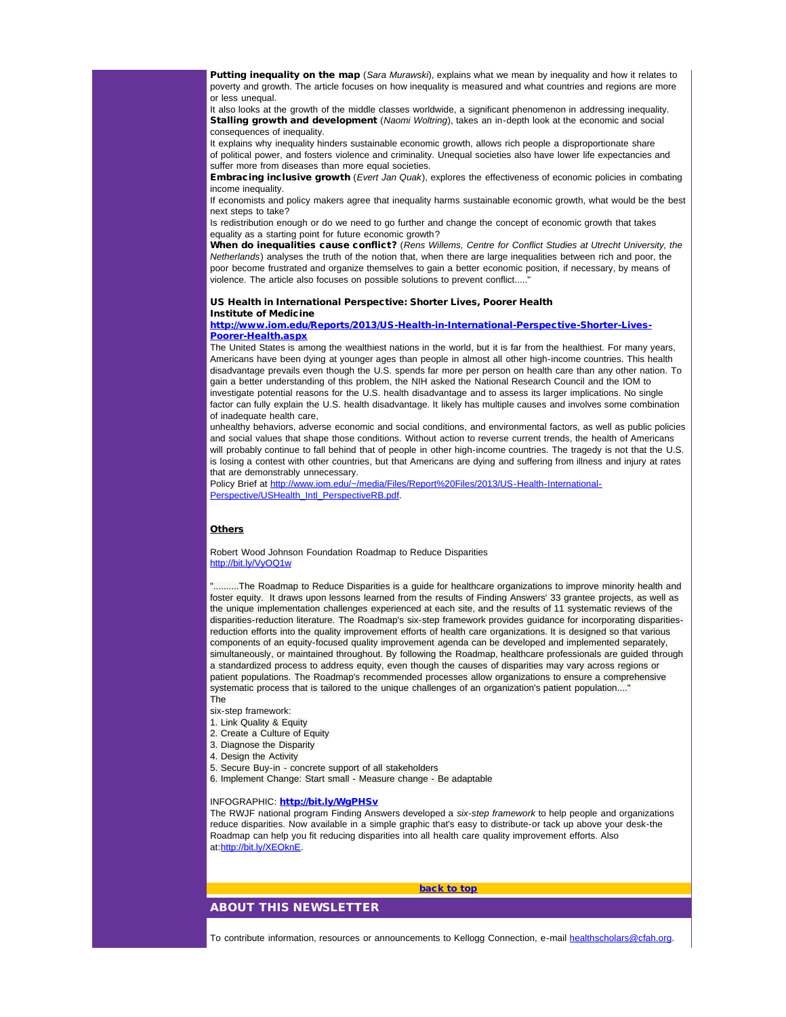Putting inequality on the map (*Sara Murawski*), explains what we mean by inequality and how it relates to poverty and growth. The article focuses on how inequality is measured and what countries and regions are more or less unequal.

It also looks at the growth of the middle classes worldwide, a significant phenomenon in addressing inequality. Stalling growth and development (*Naomi Woltring*), takes an in-depth look at the economic and social consequences of inequality.

It explains why inequality hinders sustainable economic growth, allows rich people a disproportionate share of political power, and fosters violence and criminality. Unequal societies also have lower life expectancies and suffer more from diseases than more equal societies.

Embracing inclusive growth (*Evert Jan Quak*), explores the effectiveness of economic policies in combating income inequality.

If economists and policy makers agree that inequality harms sustainable economic growth, what would be the best next steps to take?

Is redistribution enough or do we need to go further and change the concept of economic growth that takes equality as a starting point for future economic growth?

When do inequalities cause conflict? (*Rens Willems, Centre for Conflict Studies at Utrecht University, the Netherlands*) analyses the truth of the notion that, when there are large inequalities between rich and poor, the poor become frustrated and organize themselves to gain a better economic position, if necessary, by means of violence. The article also focuses on possible solutions to prevent conflict.....'

## US Health in International Perspective: Shorter Lives, Poorer Health Institute of Medicine

[http://www.iom.edu/Reports/2013/US-Health-in-International-Perspective-Shorter-Lives-](http://r20.rs6.net/tn.jsp?e=001DdGagPIseLs6M6txhoSQKRZ9oMhhiCikRRaexYNb56piuTHcYJup_wUEVJR7Dnaf4ym9rZ_xPGHgqkAUOcHU6JTJtJtoLpj43HrDZpmWwjIvGG_N9EwcJmt_pxR8XqJXPqvqGqrU4dLX2OhUui3dZuRAazk2eBiol9Y6oESfCffGkI1vFXyhFWC2gPzMBxIW-uyvyLQ_lqgbWga4ZxpS7FIpFHkGUqX5)[Poorer-Health.aspx](http://r20.rs6.net/tn.jsp?e=001DdGagPIseLs6M6txhoSQKRZ9oMhhiCikRRaexYNb56piuTHcYJup_wUEVJR7Dnaf4ym9rZ_xPGHgqkAUOcHU6JTJtJtoLpj43HrDZpmWwjIvGG_N9EwcJmt_pxR8XqJXPqvqGqrU4dLX2OhUui3dZuRAazk2eBiol9Y6oESfCffGkI1vFXyhFWC2gPzMBxIW-uyvyLQ_lqgbWga4ZxpS7FIpFHkGUqX5)

The United States is among the wealthiest nations in the world, but it is far from the healthiest. For many years, Americans have been dying at younger ages than people in almost all other high-income countries. This health disadvantage prevails even though the U.S. spends far more per person on health care than any other nation. To gain a better understanding of this problem, the NIH asked the National Research Council and the IOM to investigate potential reasons for the U.S. health disadvantage and to assess its larger implications. No single factor can fully explain the U.S. health disadvantage. It likely has multiple causes and involves some combination of inadequate health care,

unhealthy behaviors, adverse economic and social conditions, and environmental factors, as well as public policies and social values that shape those conditions. Without action to reverse current trends, the health of Americans will probably continue to fall behind that of people in other high-income countries. The tragedy is not that the U.S. is losing a contest with other countries, but that Americans are dying and suffering from illness and injury at rates that are demonstrably unnecessary.

Policy Brief at [http://www.iom.edu/~/media/Files/Report%20Files/2013/US-Health-International-](http://r20.rs6.net/tn.jsp?e=001DdGagPIseLsz2fsrCynd8-afMkK-5-4e7egbI0-ycT1QQmDHyIQ_iHfN663L1Wg7xr38XOfncP4oznaoj_kH-OHX25mvHiKKqL3RBxMS2Z-865ukRGb_-bzKxxg3LGleoSKoHwrrkYv1Hy-7fk0RJBX9OYbozUrmAmHe8EUohmp4LT21Un4hrV0S_Kq67U5We4nrmaA-q0Kr_DyrI9qOiXOrbKnV_gLXOBEeHAPehjY0t660I702tYv_emFqSC5A)[Perspective/USHealth\\_Intl\\_PerspectiveRB.pdf.](http://r20.rs6.net/tn.jsp?e=001DdGagPIseLsz2fsrCynd8-afMkK-5-4e7egbI0-ycT1QQmDHyIQ_iHfN663L1Wg7xr38XOfncP4oznaoj_kH-OHX25mvHiKKqL3RBxMS2Z-865ukRGb_-bzKxxg3LGleoSKoHwrrkYv1Hy-7fk0RJBX9OYbozUrmAmHe8EUohmp4LT21Un4hrV0S_Kq67U5We4nrmaA-q0Kr_DyrI9qOiXOrbKnV_gLXOBEeHAPehjY0t660I702tYv_emFqSC5A)

## **Others**

#### Robert Wood Johnson Foundation Roadmap to Reduce Disparities [http://bit.ly/VyOQ1w](http://r20.rs6.net/tn.jsp?e=001DdGagPIseLt92uIKS3Zb0_gs1elsqWfnkiMQIM_w3WRd4Hy6yEQhWYmRr5PCXcgbS0rW8VxqZExIvJ9XR0Fuv2I3ahzkzERZEy_S86IGEmc=)

"..........The Roadmap to Reduce Disparities is a guide for healthcare organizations to improve minority health and foster equity. It draws upon lessons learned from the results of Finding Answers' 33 grantee projects, as well as the unique implementation challenges experienced at each site, and the results of 11 systematic reviews of the disparities-reduction literature. The Roadmap's six-step framework provides guidance for incorporating disparitiesreduction efforts into the quality improvement efforts of health care organizations. It is designed so that various components of an equity-focused quality improvement agenda can be developed and implemented separately, simultaneously, or maintained throughout. By following the Roadmap, healthcare professionals are guided through a standardized process to address equity, even though the causes of disparities may vary across regions or patient populations. The Roadmap's recommended processes allow organizations to ensure a comprehensive systematic process that is tailored to the unique challenges of an organization's patient population...."

- The
- six-step framework:
- 1. Link Quality & Equity 2. Create a Culture of Equity
- 
- 3. Diagnose the Disparity
- 4. Design the Activity
- 5. Secure Buy-in concrete support of all stakeholders
- 6. Implement Change: Start small Measure change Be adaptable

## INFOGRAPHIC: [http://bit.ly/WgPHSv](http://r20.rs6.net/tn.jsp?e=001DdGagPIseLvGXjaxqCHl11ERhfDt8-sPD177xSdfcctbWmmG31IeyGMGM2JPwX7PX1q-BK1ptKW8cC6QTJoreKQKvB5csFeYIm7pBLAC1Fk=)

The RWJF national program Finding Answers developed a *six-step framework* to help people and organizations reduce disparities. Now available in a simple graphic that's easy to distribute-or tack up above your desk-the Roadmap can help you fit reducing disparities into all health care quality improvement efforts. Also at:[http://bit.ly/XEOknE](http://r20.rs6.net/tn.jsp?e=001DdGagPIseLtfbFrZZ4MfhUWkmJ7T0GkfrnyItJsHC0GTg5iFAMmljMnihVezqDjPl2Sw6CYHEsc8eNf9WZdoeQwSa9DKhshWUckUrnSfa4g=).

## ABOUT THIS NEWSLETTER

[back to top](#page-0-3)

To contribute information, resources or announcements to Kellogg Connection, e-mail [healthscholars@cfah.org.](mailto:healthscholars@cfah.org)